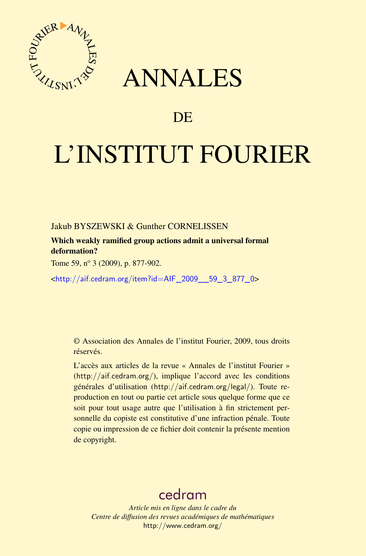

## ANNALES

## **DE**

# L'INSTITUT FOURIER

Jakub BYSZEWSKI & Gunther CORNELISSEN

Which weakly ramified group actions admit a universal formal deformation?

Tome 59, nº 3 (2009), p. 877-902.

<[http://aif.cedram.org/item?id=AIF\\_2009\\_\\_59\\_3\\_877\\_0](http://aif.cedram.org/item?id=AIF_2009__59_3_877_0)>

© Association des Annales de l'institut Fourier, 2009, tous droits réservés.

L'accès aux articles de la revue « Annales de l'institut Fourier » (<http://aif.cedram.org/>), implique l'accord avec les conditions générales d'utilisation (<http://aif.cedram.org/legal/>). Toute reproduction en tout ou partie cet article sous quelque forme que ce soit pour tout usage autre que l'utilisation à fin strictement personnelle du copiste est constitutive d'une infraction pénale. Toute copie ou impression de ce fichier doit contenir la présente mention de copyright.

## [cedram](http://www.cedram.org/)

*Article mis en ligne dans le cadre du Centre de diffusion des revues académiques de mathématiques* <http://www.cedram.org/>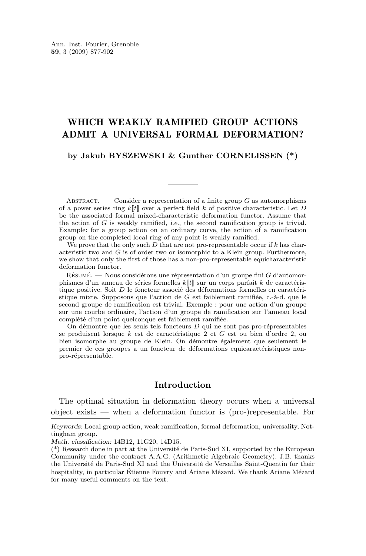#### WHICH WEAKLY RAMIFIED GROUP ACTIONS ADMIT A UNIVERSAL FORMAL DEFORMATION?

**by Jakub BYSZEWSKI & Gunther CORNELISSEN (\*)**

ABSTRACT. — Consider a representation of a finite group  $G$  as automorphisms of a power series ring  $k[[t]]$  over a perfect field k of positive characteristic. Let D be the associated formal mixed-characteristic deformation functor. Assume that the action of G is weakly ramified, *i.e.*, the second ramification group is trivial. Example: for a group action on an ordinary curve, the action of a ramification group on the completed local ring of any point is weakly ramified.

We prove that the only such  $D$  that are not pro-representable occur if k has characteristic two and  $G$  is of order two or isomorphic to a Klein group. Furthermore, we show that only the first of those has a non-pro-representable equicharacteristic deformation functor.

 $R$ ÉSUMÉ. — Nous considérons une répresentation d'un groupe fini G d'automorphismes d'un anneau de séries formelles  $k[[t]]$  sur un corps parfait k de caractéristique positive. Soit D le foncteur associé des déformations formelles en caractéristique mixte. Supposons que l'action de G est faiblement ramifiée, c.-à-d. que le second groupe de ramification est trivial. Exemple : pour une action d'un groupe sur une courbe ordinaire, l'action d'un groupe de ramification sur l'anneau local complèté d'un point quelconque est faiblement ramifiée.

On démontre que les seuls tels foncteurs D qui ne sont pas pro-répresentables se produisent lorsque k est de caractéristique 2 et G est ou bien d'ordre 2, ou bien isomorphe au groupe de Klein. On démontre également que seulement le premier de ces groupes a un foncteur de déformations equicaractéristiques nonpro-répresentable.

#### **Introduction**

The optimal situation in deformation theory occurs when a universal object exists — when a deformation functor is (pro-)representable. For

*Keywords:* Local group action, weak ramification, formal deformation, universality, Nottingham group.

*Math. classification:* 14B12, 11G20, 14D15.

<sup>(\*)</sup> Research done in part at the Université de Paris-Sud XI, supported by the European Community under the contract A.A.G. (Arithmetic Algebraic Geometry). J.B. thanks the Université de Paris-Sud XI and the Université de Versailles Saint-Quentin for their hospitality, in particular Étienne Fouvry and Ariane Mézard. We thank Ariane Mézard for many useful comments on the text.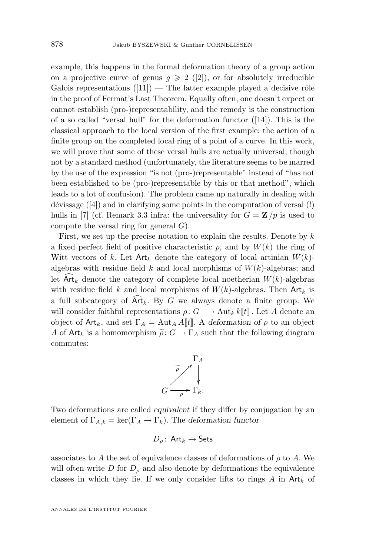example, this happens in the formal deformation theory of a group action on a projective curve of genus  $g \geq 2$  ([\[2\]](#page-25-0)), or for absolutely irreducible Galois representations  $(11)$  — The latter example played a decisive rôle in the proof of Fermat's Last Theorem. Equally often, one doesn't expect or cannot establish (pro-)representability, and the remedy is the construction of a so called "versal hull" for the deformation functor ([\[14\]](#page-26-0)). This is the classical approach to the local version of the first example: the action of a finite group on the completed local ring of a point of a curve. In this work, we will prove that some of these versal hulls are actually universal, though not by a standard method (unfortunately, the literature seems to be marred by the use of the expression "is not (pro-)representable" instead of "has not been established to be (pro-)representable by this or that method", which leads to a lot of confusion). The problem came up naturally in dealing with dévissage ([\[4\]](#page-25-0)) and in clarifying some points in the computation of versal (!) hulls in [\[7\]](#page-26-0) (cf. Remark [3.3](#page-17-0) infra: the universality for  $G = \mathbf{Z}/p$  is used to compute the versal ring for general  $G$ ).

First, we set up the precise notation to explain the results. Denote by  $k$ a fixed perfect field of positive characteristic  $p$ , and by  $W(k)$  the ring of Witt vectors of k. Let  $\text{Art}_k$  denote the category of local artinian  $W(k)$ algebras with residue field  $k$  and local morphisms of  $W(k)$ -algebras; and let  $Art_k$  denote the category of complete local noetherian  $W(k)$ -algebras with residue field k and local morphisms of  $W(k)$ -algebras. Then Art<sub>k</sub> is a full subcategory of  $\text{Art}_k$ . By G we always denote a finite group. We will consider faithful representations  $\rho: G \longrightarrow \text{Aut}_k k[[t]]$ . Let A denote an object of  $Art_k$ , and set  $\Gamma_A = Aut_A A[[t]]$ . A *deformation of*  $\rho$  to an object A of Art<sub>k</sub> is a homomorphism  $\tilde{\rho}: G \to \Gamma_A$  such that the following diagram commutes:



Two deformations are called *equivalent* if they differ by conjugation by an element of  $\Gamma_{A,k} = \ker(\Gamma_A \to \Gamma_k)$ . The *deformation functor* 

$$
D_{\rho}\colon \operatorname{\mathsf{Art}\!}{}_k \rightarrow \operatorname{\mathsf{Sets}\!}{}
$$

associates to A the set of equivalence classes of deformations of  $\rho$  to A. We will often write D for  $D_{\rho}$  and also denote by deformations the equivalence classes in which they lie. If we only consider lifts to rings  $A$  in  $Art_k$  of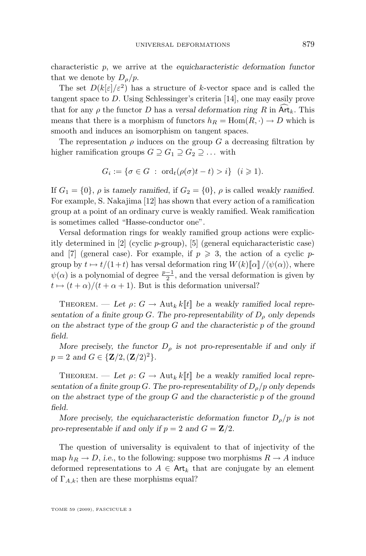characteristic p, we arrive at the *equicharacteristic deformation functor* that we denote by  $D_{\rho}/p$ .

The set  $D(k[\varepsilon]/\varepsilon^2)$  has a structure of k-vector space and is called the tangent space to D. Using Schlessinger's criteria [\[14\]](#page-26-0), one may easily prove that for any  $\rho$  the functor D has a versal deformation ring R in Art<sub>k</sub>. This means that there is a morphism of functors  $h_R = \text{Hom}(R, \cdot) \to D$  which is smooth and induces an isomorphism on tangent spaces.

The representation  $\rho$  induces on the group G a decreasing filtration by higher ramification groups  $G \supseteq G_1 \supseteq G_2 \supseteq \ldots$  with

$$
G_i := \{ \sigma \in G \; : \; \text{ord}_t(\rho(\sigma)t - t) > i \} \quad (i \geq 1).
$$

If  $G_1 = \{0\}$ ,  $\rho$  is *tamely ramified*, if  $G_2 = \{0\}$ ,  $\rho$  is called *weakly ramified*. For example, S. Nakajima [\[12\]](#page-26-0) has shown that every action of a ramification group at a point of an ordinary curve is weakly ramified. Weak ramification is sometimes called "Hasse-conductor one".

Versal deformation rings for weakly ramified group actions were explicitly determined in  $[2]$  (cyclic p-group),  $[5]$  (general equicharacteristic case) and [\[7\]](#page-26-0) (general case). For example, if  $p \geqslant 3$ , the action of a cyclic pgroup by  $t \mapsto t/(1+t)$  has versal deformation ring  $W(k)[\![\alpha]\!]/\langle\psi(\alpha)\rangle$ , where  $\psi(\alpha)$  is a polynomial of degree  $\frac{p-1}{2}$ , and the versal deformation is given by  $t \mapsto (t + \alpha)/(t + \alpha + 1)$ . But is this deformation universal?

THEOREM. — Let  $\rho: G \to \text{Aut}_k k[[t]]$  be a weakly ramified local repre*sentation of a finite group*  $G$ *. The pro-representability of*  $D<sub>\rho</sub>$  *only depends on the abstract type of the group* G *and the characteristic* p *of the ground field.*

*More precisely, the functor*  $D<sub>o</sub>$  *is not pro-representable if and only if*  $p = 2$  *and*  $G \in \{Z/2, (Z/2)^2\}.$ 

THEOREM. — Let  $\rho: G \to \text{Aut}_k k[[t]]$  be a weakly ramified local repre*sentation of a finite group* G. The pro-representability of  $D<sub>o</sub>/p$  only depends *on the abstract type of the group* G *and the characteristic* p *of the ground field.*

*More precisely, the equicharacteristic deformation functor*  $D_{\rho}/p$  *is not* pro-representable if and only if  $p = 2$  and  $G = \mathbb{Z}/2$ .

The question of universality is equivalent to that of injectivity of the map  $h_R \to D$ , *i.e.*, to the following: suppose two morphisms  $R \to A$  induce deformed representations to  $A \in \mathsf{Art}_k$  that are conjugate by an element of  $\Gamma_{A,k}$ ; then are these morphisms equal?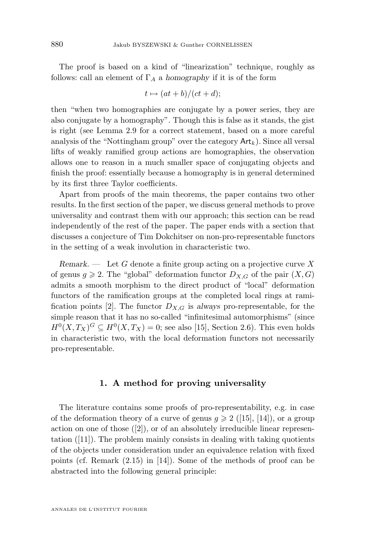<span id="page-4-0"></span>The proof is based on a kind of "linearization" technique, roughly as follows: call an element of  $\Gamma_A$  a *homography* if it is of the form

$$
t \mapsto (at+b)/(ct+d);
$$

then "when two homographies are conjugate by a power series, they are also conjugate by a homography". Though this is false as it stands, the gist is right (see Lemma [2.9](#page-10-0) for a correct statement, based on a more careful analysis of the "Nottingham group" over the category  $Art_k$ ). Since all versal lifts of weakly ramified group actions are homographies, the observation allows one to reason in a much smaller space of conjugating objects and finish the proof: essentially because a homography is in general determined by its first three Taylor coefficients.

Apart from proofs of the main theorems, the paper contains two other results. In the first section of the paper, we discuss general methods to prove universality and contrast them with our approach; this section can be read independently of the rest of the paper. The paper ends with a section that discusses a conjecture of Tim Dokchitser on non-pro-representable functors in the setting of a weak involution in characteristic two.

*Remark.* — Let G denote a finite group acting on a projective curve X of genus  $g \ge 2$ . The "global" deformation functor  $D_{X,G}$  of the pair  $(X,G)$ admits a smooth morphism to the direct product of "local" deformation functors of the ramification groups at the completed local rings at rami-fication points [\[2\]](#page-25-0). The functor  $D_{X,G}$  is *always* pro-representable, for the simple reason that it has no so-called "infinitesimal automorphisms" (since  $H^0(X, T_X)^G \subseteq H^0(X, T_X) = 0$ ; see also [\[15\]](#page-26-0), Section 2.6). This even holds in characteristic two, with the local deformation functors not necessarily pro-representable.

#### **1. A method for proving universality**

The literature contains some proofs of pro-representability, e.g. in case of the deformation theory of a curve of genus  $g \geq 2$  ([\[15\]](#page-26-0), [\[14\]](#page-26-0)), or a group action on one of those  $([2])$  $([2])$  $([2])$ , or of an absolutely irreducible linear representation ([\[11\]](#page-26-0)). The problem mainly consists in dealing with taking quotients of the objects under consideration under an equivalence relation with fixed points (cf. Remark (2.15) in [\[14\]](#page-26-0)). Some of the methods of proof can be abstracted into the following general principle: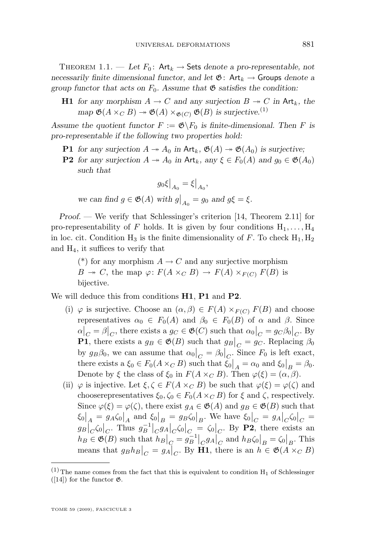THEOREM 1.1. — Let  $F_0$ : Art<sub>k</sub>  $\rightarrow$  Sets denote a pro-representable, not *necessarily finite dimensional functor, and let*  $\mathfrak{G}$ : Art<sub>k</sub>  $\rightarrow$  Groups *denote a group functor that acts on*  $F_0$ . Assume that  $\mathfrak{G}$  *satisfies the condition:* 

**H1** *for any morphism*  $A \to C$  *and any surjection*  $B \to C$  *in* Art<sub>k</sub>, the *map*  $\mathfrak{G}(A \times_C B) \to \mathfrak{G}(A) \times_{\mathfrak{G}(C)} \mathfrak{G}(B)$  *is surjective.*<sup>(1)</sup>

Assume the quotient functor  $F := \mathfrak{G} \backslash F_0$  is finite-dimensional. Then F is *pro-representable if the following two properties hold:*

- **P1** for any surjection  $A \twoheadrightarrow A_0$  in  $\mathsf{Art}_k$ ,  $\mathfrak{G}(A) \twoheadrightarrow \mathfrak{G}(A_0)$  is surjective;
- **P2** *for any surjection*  $A \rightarrow A_0$  *in* Art<sub>k</sub>, any  $\xi \in F_0(A)$  *and*  $g_0 \in \mathfrak{G}(A_0)$ *such that*

$$
g_0\xi\big|_{A_0} = \xi\big|_{A_0},
$$
 we can find  $g \in \mathfrak{G}(A)$  with  $g\big|_{A_0} = g_0$  and  $g\xi = \xi$ .

*Proof. —* We verify that Schlessinger's criterion [\[14,](#page-26-0) Theorem 2.11] for pro-representability of F holds. It is given by four conditions  $H_1, \ldots, H_4$ in loc. cit. Condition  $H_3$  is the finite dimensionality of F. To check  $H_1, H_2$ and  $H_4$ , it suffices to verify that

(\*) for any morphism  $A \to C$  and any surjective morphism  $B \to C$ , the map  $\varphi \colon F(A \times_C B) \to F(A) \times_{F(C)} F(B)$  is bijective.

We will deduce this from conditions **H1**, **P1** and **P2**.

- (i)  $\varphi$  is surjective. Choose an  $(\alpha, \beta) \in F(A) \times_{F(C)} F(B)$  and choose representatives  $\alpha_0 \in F_0(A)$  and  $\beta_0 \in F_0(B)$  of  $\alpha$  and  $\beta$ . Since  $\alpha|_C = \beta|_C$ , there exists a  $g_C \in \mathfrak{G}(C)$  such that  $\alpha_0|_C = g_C \beta_0|_C$ . By **P1**, there exists a  $g_B \in \mathfrak{G}(B)$  such that  $g_B|_C = g_C$ . Replacing  $\beta_0$ by  $g_B\beta_0$ , we can assume that  $\alpha_0|_C = \beta_0|_C$ . Since  $F_0$  is left exact, there exists a  $\xi_0 \in F_0(A \times_C B)$  such that  $\xi_0|_A = \alpha_0$  and  $\xi_0|_B = \beta_0$ . Denote by  $\xi$  the class of  $\xi_0$  in  $F(A \times_C B)$ . Then  $\varphi(\xi) = (\alpha, \beta)$ .
- (ii)  $\varphi$  is injective. Let  $\xi, \zeta \in F(A \times_C B)$  be such that  $\varphi(\xi) = \varphi(\zeta)$  and chooserepresentatives  $\xi_0, \zeta_0 \in F_0(A \times_C B)$  for  $\xi$  and  $\zeta$ , respectively. Since  $\varphi(\xi) = \varphi(\zeta)$ , there exist  $g_A \in \mathfrak{G}(A)$  and  $g_B \in \mathfrak{G}(B)$  such that  $\zeta_0|_A = g_A \zeta_0|_A$  and  $\zeta_0|_B = g_B \zeta_0|_B$ . We have  $\zeta_0|_C = g_A|_C \zeta_0|_C =$  $g_B\vert_C\zeta_0\vert_C$ . Thus  $g_B^{-1}\vert_C g_A\vert_C\zeta_0\vert_C = \vert\zeta_0\vert_C$ . By **P2**, there exists an  $h_B \in \mathfrak{G}(B)$  such that  $h_B\big|_{C} = g_B^{-1}\big|_{C}g_A\big|_{C}$  and  $h_B\zeta_0\big|_{B} = \zeta_0\big|_{B}$ . This means that  $g_B h_B\big|_C = g_A\big|_C$ . By **H1**, there is an  $h \in \mathfrak{G}(A \times_C B)$

 $(1)$  The name comes from the fact that this is equivalent to condition  $H_1$  of Schlessinger ([\[14\]](#page-26-0)) for the functor  $\mathfrak{G}$ .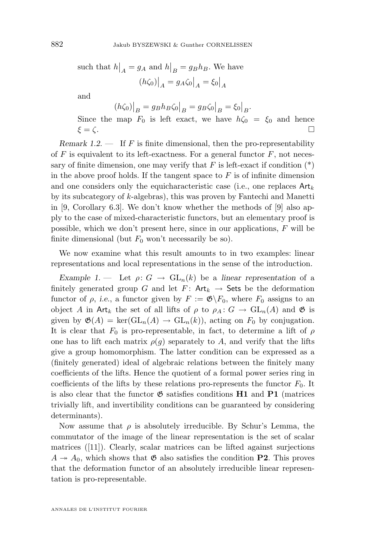such that  $h|_A = g_A$  and  $h|_B = g_B h_B$ . We have  $(h\zeta_0)\big|_A = g_A\zeta_0\big|_A = \zeta_0\big|_A$ 

and

$$
(h\zeta_0)\big|_B = g_B h_B \zeta_0 \big|_B = g_B \zeta_0 \big|_B = \zeta_0 \big|_B.
$$

Since the map  $F_0$  is left exact, we have  $h\zeta_0 = \zeta_0$  and hence  $\xi = \zeta$ .

*Remark 1.2.* — If F is finite dimensional, then the pro-representability of  $F$  is equivalent to its left-exactness. For a general functor  $F$ , not necessary of finite dimension, one may verify that  $F$  is left-exact if condition  $(*)$ in the above proof holds. If the tangent space to  $F$  is of infinite dimension and one considers only the equicharacteristic case (i.e., one replaces  $Art_k$ by its subcategory of k-algebras), this was proven by Fantechi and Manetti in [\[9,](#page-26-0) Corollary 6.3]. We don't know whether the methods of [\[9\]](#page-26-0) also apply to the case of mixed-characteristic functors, but an elementary proof is possible, which we don't present here, since in our applications, F will be finite dimensional (but  $F_0$  won't necessarily be so).

We now examine what this result amounts to in two examples: linear representations and local representations in the sense of the introduction.

*Example 1.* — Let  $\rho: G \to GL_n(k)$  be a *linear representation* of a finitely generated group G and let  $F: Art_k \rightarrow Sets$  be the deformation functor of  $\rho$ , *i.e.*, a functor given by  $F := \mathfrak{G} \backslash F_0$ , where  $F_0$  assigns to an object A in Art<sub>k</sub> the set of all lifts of  $\rho$  to  $\rho_A: G \to GL_n(A)$  and  $\mathfrak{G}$  is given by  $\mathfrak{G}(A) = \text{ker}(\text{GL}_n(A) \to \text{GL}_n(k))$ , acting on  $F_0$  by conjugation. It is clear that  $F_0$  is pro-representable, in fact, to determine a lift of  $\rho$ one has to lift each matrix  $\rho(g)$  separately to A, and verify that the lifts give a group homomorphism. The latter condition can be expressed as a (finitely generated) ideal of algebraic relations between the finitely many coefficients of the lifts. Hence the quotient of a formal power series ring in coefficients of the lifts by these relations pro-represents the functor  $F_0$ . It is also clear that the functor  $\mathfrak G$  satisfies conditions **H1** and **P1** (matrices trivially lift, and invertibility conditions can be guaranteed by considering determinants).

Now assume that  $\rho$  is absolutely irreducible. By Schur's Lemma, the commutator of the image of the linear representation is the set of scalar matrices ([\[11\]](#page-26-0)). Clearly, scalar matrices can be lifted against surjections  $A \rightarrow A_0$ , which shows that  $\mathfrak{G}$  also satisfies the condition **P2**. This proves that the deformation functor of an absolutely irreducible linear representation is pro-representable.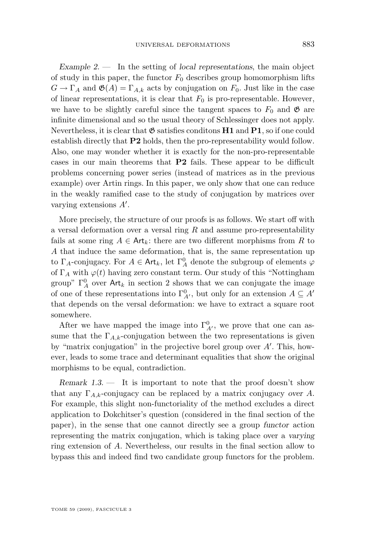*Example 2. —* In the setting of *local representations*, the main object of study in this paper, the functor  $F_0$  describes group homomorphism lifts  $G \to \Gamma_A$  and  $\mathfrak{G}(A) = \Gamma_{A,k}$  acts by conjugation on  $F_0$ . Just like in the case of linear representations, it is clear that  $F_0$  is pro-representable. However, we have to be slightly careful since the tangent spaces to  $F_0$  and  $\mathfrak{G}$  are infinite dimensional and so the usual theory of Schlessinger does not apply. Nevertheless, it is clear that  $\mathfrak{G}$  satisfies conditions **H1** and **P1**, so if one could establish directly that **P2** holds, then the pro-representability would follow. Also, one may wonder whether it is exactly for the non-pro-representable cases in our main theorems that **P2** fails. These appear to be difficult problems concerning power series (instead of matrices as in the previous example) over Artin rings. In this paper, we only show that one can reduce in the weakly ramified case to the study of conjugation by matrices over varying extensions  $A'$ .

More precisely, the structure of our proofs is as follows. We start off with a versal deformation over a versal ring  $R$  and assume pro-representability fails at some ring  $A \in \mathsf{Art}_k$ : there are two different morphisms from R to A that induce the same deformation, that is, the same representation up to  $\Gamma_A$ -conjugacy. For  $A \in \text{Art}_k$ , let  $\Gamma_A^0$  denote the subgroup of elements  $\varphi$ of  $\Gamma_A$  with  $\varphi(t)$  having zero constant term. Our study of this "Nottingham" group"  $\Gamma_A^0$  over Art<sub>k</sub> in section [2](#page-8-0) shows that we can conjugate the image of one of these representations into  $\Gamma^0_{A'}$ , but only for an extension  $A \subseteq A'$ that depends on the versal deformation: we have to extract a square root somewhere.

After we have mapped the image into  $\Gamma^0_{A'}$ , we prove that one can assume that the  $\Gamma_{A,k}$ -conjugation between the two representations is given by "matrix conjugation" in the projective borel group over  $A'$ . This, however, leads to some trace and determinant equalities that show the original morphisms to be equal, contradiction.

*Remark 1.3.* — It is important to note that the proof doesn't show that any  $\Gamma_{A,k}$ -conjugacy can be replaced by a matrix conjugacy *over* A. For example, this slight non-functoriality of the method excludes a direct application to Dokchitser's question (considered in the final section of the paper), in the sense that one cannot directly see a group *functor* action representing the matrix conjugation, which is taking place over a *varying* ring extension of A. Nevertheless, our results in the final section allow to bypass this and indeed find two candidate group functors for the problem.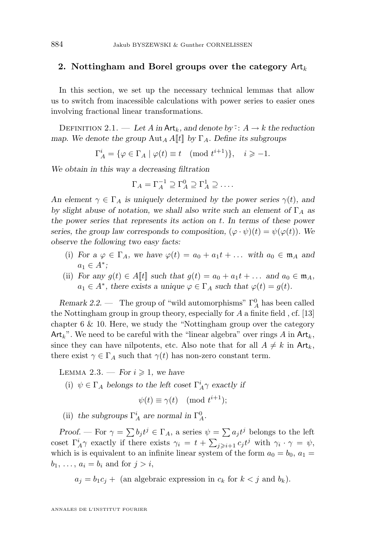#### <span id="page-8-0"></span>**2.** Nottingham and Borel groups over the category  $Art_k$

In this section, we set up the necessary technical lemmas that allow us to switch from inacessible calculations with power series to easier ones involving fractional linear transformations.

DEFINITION 2.1. — Let A in  $\mathsf{Art}_k$ , and denote by:  $A \to k$  the reduction *map.* We denote the group  $\text{Aut}_A A[[t]]$  by  $\Gamma_A$ . Define its subgroups

 $\Gamma_A^i = \{ \varphi \in \Gamma_A \mid \varphi(t) \equiv t \pmod{t^{i+1}} \}, \quad i \geqslant -1.$ 

*We obtain in this way a decreasing filtration*

$$
\Gamma_A = \Gamma_A^{-1} \supseteq \Gamma_A^0 \supseteq \Gamma_A^1 \supseteq \dots
$$

An element  $\gamma \in \Gamma_A$  *is uniquely determined by the power series*  $\gamma(t)$ *, and by slight abuse of notation, we shall also write such an element of*  $\Gamma_A$  *as the power series that represents its action on* t*. In terms of these power series, the group law corresponds to composition,*  $(\varphi \cdot \psi)(t) = \psi(\varphi(t))$ *. We observe the following two easy facts:*

- (i) *For a*  $\varphi \in \Gamma_A$ *, we have*  $\varphi(t) = a_0 + a_1 t + \dots$  *with*  $a_0 \in \mathfrak{m}_A$  *and*  $a_1 \in A^*$ ;
- (ii) *For any*  $g(t) \in A[t]$  *such that*  $g(t) = a_0 + a_1 t + \dots$  *and*  $a_0 \in \mathfrak{m}_A$ *,*  $a_1 \in A^*$ , there exists a unique  $\varphi \in \Gamma_A$  such that  $\varphi(t) = g(t)$ .

*Remark 2.2.* — The group of "wild automorphisms"  $\Gamma_A^0$  has been called the Nottingham group in group theory, especially for A a finite field , cf. [\[13\]](#page-26-0) chapter 6 & 10. Here, we study the "Nottingham group over the category  $Art_k$ ". We need to be careful with the "linear algebra" over rings A in  $Art_k$ , since they can have nilpotents, etc. Also note that for all  $A \neq k$  in  $\text{Art}_k$ , there exist  $\gamma \in \Gamma_A$  such that  $\gamma(t)$  has non-zero constant term.

LEMMA 2.3. — *For*  $i \geq 1$ *, we have* 

(i)  $\psi \in \Gamma_A$  *belongs to the left coset*  $\Gamma_A^i \gamma$  *exactly if* 

$$
\psi(t) \equiv \gamma(t) \pmod{t^{i+1}};
$$

(ii) the subgroups  $\Gamma_A^i$  are normal in  $\Gamma_A^0$ .

*Proof.* — For  $\gamma = \sum b_j t^j \in \Gamma_A$ , a series  $\psi = \sum a_j t^j$  belongs to the left coset  $\Gamma_A^i \gamma$  exactly if there exists  $\gamma_i = t + \sum_{j \geqslant i+1} c_j t^j$  with  $\gamma_i \cdot \gamma = \psi$ , which is is equivalent to an infinite linear system of the form  $a_0 = b_0$ ,  $a_1 =$  $b_1, \ldots, a_i = b_i$  and for  $j > i$ ,

 $a_j = b_1 c_j +$  (an algebraic expression in  $c_k$  for  $k < j$  and  $b_k$ ).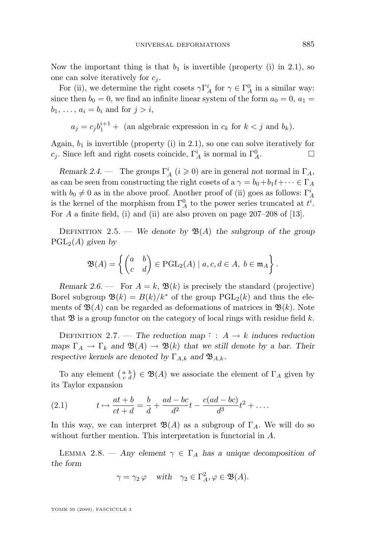<span id="page-9-0"></span>Now the important thing is that  $b_1$  is invertible (property (i) in [2.1\)](#page-8-0), so one can solve iteratively for  $c_i$ .

For (ii), we determine the right cosets  $\gamma \Gamma_A^i$  for  $\gamma \in \Gamma_A^0$  in a similar way: since then  $b_0 = 0$ , we find an infinite linear system of the form  $a_0 = 0$ ,  $a_1 =$  $b_1, \ldots, a_i = b_i$  and for  $j > i$ ,

$$
a_j = c_j b_1^{i+1} +
$$
 (an algebraic expression in  $c_k$  for  $k < j$  and  $b_k$ ).

Again,  $b_1$  is invertible (property (i) in [2.1\)](#page-8-0), so one can solve iteratively for c<sub>j</sub>. Since left and right cosets coincide,  $\Gamma_A^i$  is normal in  $\Gamma_A^0$ .

*Remark 2.4.* — The groups  $\Gamma_A^i$  ( $i \geq 0$ ) are in general *not* normal in  $\Gamma_A$ , as can be seen from constructing the right cosets of a  $\gamma = b_0+b_1t+\cdots \in \Gamma_A$ with  $b_0 \neq 0$  as in the above proof. Another proof of (ii) goes as follows:  $\Gamma^i_A$ is the kernel of the morphism from  $\Gamma_A^0$  to the power series truncated at  $t^i$ . For  $A$  a finite field, (i) and (ii) are also proven on page 207–208 of [\[13\]](#page-26-0).

DEFINITION 2.5. — *We denote by*  $\mathfrak{B}(A)$  *the subgroup of the group* PGL2(A) *given by*

$$
\mathfrak{B}(A) = \left\{ \begin{pmatrix} a & b \\ c & d \end{pmatrix} \in \mathrm{PGL}_2(A) \mid a, c, d \in A, b \in \mathfrak{m}_A \right\}.
$$

*Remark 2.6.* — For  $A = k$ ,  $\mathfrak{B}(k)$  is precisely the standard (projective) Borel subgroup  $\mathfrak{B}(k) = B(k)/k^*$  of the group  $\text{PGL}_2(k)$  and thus the elements of  $\mathfrak{B}(A)$  can be regarded as deformations of matrices in  $\mathfrak{B}(k)$ . Note that  $\mathfrak{B}$  is a group functor on the category of local rings with residue field k.

DEFINITION 2.7. — The reduction map  $\bar{\cdot}$  :  $A \rightarrow k$  induces reduction *maps*  $\Gamma_A \to \Gamma_k$  *and*  $\mathfrak{B}(A) \to \mathfrak{B}(k)$  *that we still denote by a bar. Their respective kernels are denoted by*  $\Gamma_{A,k}$  *and*  $\mathfrak{B}_{A,k}$ *.* 

To any element  $\begin{pmatrix} a & b \\ c & d \end{pmatrix} \in \mathfrak{B}(A)$  we associate the element of  $\Gamma_A$  given by its Taylor expansion

(2.1) 
$$
t \mapsto \frac{at+b}{ct+d} = \frac{b}{d} + \frac{ad - bc}{d^2}t - \frac{c(ad - bc)}{d^3}t^2 + \dots
$$

In this way, we can interpret  $\mathfrak{B}(A)$  as a subgroup of  $\Gamma_A$ . We will do so without further mention. This interpretation is functorial in A.

LEMMA 2.8. — *Any element*  $\gamma \in \Gamma_A$  *has a unique decomposition of the form*

$$
\gamma = \gamma_2 \, \varphi \quad \text{with} \quad \gamma_2 \in \Gamma_A^2, \varphi \in \mathfrak{B}(A).
$$

TOME 59 (2009), FASCICULE 3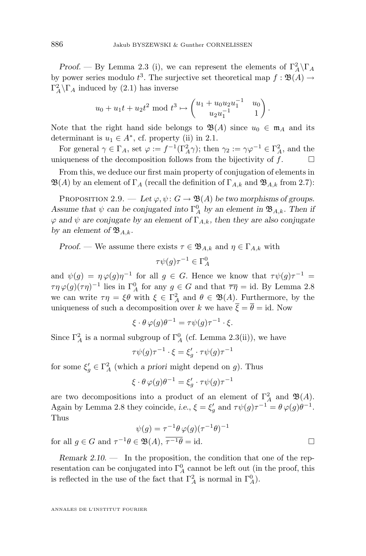<span id="page-10-0"></span>*Proof.* — By Lemma [2.3](#page-8-0) (i), we can represent the elements of  $\Gamma_A^2 \backslash \Gamma_A$ by power series modulo  $t^3$ . The surjective set theoretical map  $f : \mathfrak{B}(A) \to$  $\Gamma_A^2 \backslash \Gamma_A$  induced by [\(2.1\)](#page-9-0) has inverse

$$
u_0 + u_1 t + u_2 t^2 \mod t^3 \mapsto \begin{pmatrix} u_1 + u_0 u_2 u_1^{-1} & u_0 \\ u_2 u_1^{-1} & 1 \end{pmatrix}.
$$

Note that the right hand side belongs to  $\mathfrak{B}(A)$  since  $u_0 \in \mathfrak{m}_A$  and its determinant is  $u_1 \in A^*$ , cf. property (ii) in [2.1.](#page-8-0)

For general  $\gamma \in \Gamma_A$ , set  $\varphi := f^{-1}(\Gamma_A^2 \gamma)$ ; then  $\gamma_2 := \gamma \varphi^{-1} \in \Gamma_A^2$ , and the uniqueness of the decomposition follows from the bijectivity of  $f$ .  $\Box$ 

From this, we deduce our first main property of conjugation of elements in  $\mathfrak{B}(A)$  by an element of  $\Gamma_A$  (recall the definition of  $\Gamma_{A,k}$  and  $\mathfrak{B}_{A,k}$  from [2.7\)](#page-9-0):

PROPOSITION 2.9. — Let  $\varphi, \psi \colon G \to \mathfrak{B}(A)$  be two morphisms of groups. Assume that  $\psi$  can be conjugated into  $\Gamma_A^0$  by an element in  $\mathfrak{B}_{A,k}$ . Then if  $\varphi$  and  $\psi$  are conjugate by an element of  $\Gamma_{A,k}$ , then they are also conjugate by an element of  $\mathfrak{B}_{A,k}$ .

*Proof.* — We assume there exists  $\tau \in \mathfrak{B}_{A,k}$  and  $\eta \in \Gamma_{A,k}$  with

$$
\tau\psi(g)\tau^{-1}\in\Gamma_A^0
$$

and  $\psi(g) = \eta \varphi(g) \eta^{-1}$  for all  $g \in G$ . Hence we know that  $\tau \psi(g) \tau^{-1} =$  $\tau \eta \varphi(g)(\tau \eta)^{-1}$  lies in  $\Gamma_A^0$  for any  $g \in G$  and that  $\overline{\tau \eta} = id$ . By Lemma [2.8](#page-9-0) we can write  $\tau \eta = \xi \theta$  with  $\xi \in \Gamma_A^2$  and  $\theta \in \mathfrak{B}(A)$ . Furthermore, by the uniqueness of such a decomposition over k we have  $\overline{\xi} = \overline{\theta} = id$ . Now

$$
\xi \cdot \theta \varphi(g)\theta^{-1} = \tau \psi(g)\tau^{-1} \cdot \xi.
$$

Since  $\Gamma_A^2$  is a normal subgroup of  $\Gamma_A^0$  (cf. Lemma [2.3\(](#page-8-0)ii)), we have

$$
\tau \psi(g) \tau^{-1} \cdot \xi = \xi_g' \cdot \tau \psi(g) \tau^{-1}
$$

for some  $\xi_g' \in \Gamma_A^2$  (which *a priori* might depend on *g*). Thus

$$
\xi \cdot \theta \varphi(g)\theta^{-1} = \xi_g' \cdot \tau \psi(g)\tau^{-1}
$$

are two decompositions into a product of an element of  $\Gamma_A^2$  and  $\mathfrak{B}(A)$ . Again by Lemma [2.8](#page-9-0) they coincide, *i.e.*,  $\xi = \xi_g'$  and  $\tau \psi(g) \tau^{-1} = \theta \varphi(g) \theta^{-1}$ . Thus

$$
\psi(g) = \tau^{-1} \theta \varphi(g) (\tau^{-1} \theta)^{-1}
$$
  
and  $\tau^{-1} \theta \in \mathfrak{B}(A), \overline{\tau^{-1} \theta} = id.$ 

for all  $g \in G$ 

*Remark 2.10. —* In the proposition, the condition that one of the representation can be conjugated into  $\Gamma^0_A$  cannot be left out (in the proof, this is reflected in the use of the fact that  $\Gamma_A^2$  is normal in  $\Gamma_A^0$ ).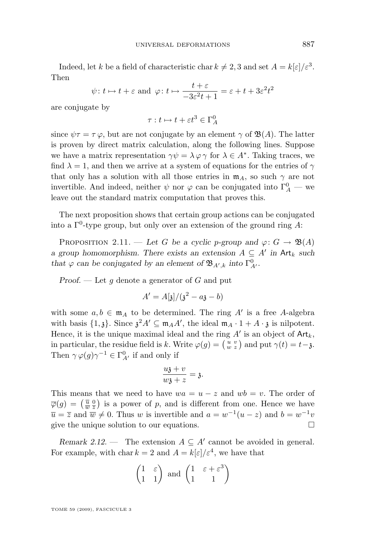<span id="page-11-0"></span>Indeed, let k be a field of characteristic char  $k \neq 2, 3$  and set  $A = k[\varepsilon]/\varepsilon^3$ . Then

$$
\psi
$$
:  $t \mapsto t + \varepsilon$  and  $\varphi$ :  $t \mapsto \frac{t + \varepsilon}{-3\varepsilon^2 t + 1} = \varepsilon + t + 3\varepsilon^2 t^2$ 

are conjugate by

$$
\tau: t \mapsto t + \varepsilon t^3 \in \Gamma_A^0
$$

since  $\psi \tau = \tau \varphi$ , but are not conjugate by an element  $\gamma$  of  $\mathfrak{B}(A)$ . The latter is proven by direct matrix calculation, along the following lines. Suppose we have a matrix representation  $\gamma \psi = \lambda \varphi \gamma$  for  $\lambda \in A^*$ . Taking traces, we find  $\lambda = 1$ , and then we arrive at a system of equations for the entries of  $\gamma$ that only has a solution with all those entries in  $m_A$ , so such  $\gamma$  are not invertible. And indeed, neither  $\psi$  nor  $\varphi$  can be conjugated into  $\Gamma^0_A$  — we leave out the standard matrix computation that proves this.

The next proposition shows that certain group actions can be conjugated into a  $\Gamma^0$ -type group, but only over an extension of the ground ring A:

PROPOSITION 2.11. — Let G be a cyclic p-group and  $\varphi: G \to \mathfrak{B}(A)$ *a* group homomorphism. There exists an extension  $A \subseteq A'$  in  $Art_k$  such *that*  $\varphi$  *can be conjugated by an element of*  $\mathfrak{B}_{A',k}$  *into*  $\Gamma^0_{A'}$ *.* 

*Proof.* — Let q denote a generator of G and put

$$
A' = A[\mathfrak{z}]/(\mathfrak{z}^2 - a\mathfrak{z} - b)
$$

with some  $a, b \in \mathfrak{m}_A$  to be determined. The ring A' is a free A-algebra with basis  $\{1, \mathfrak{z}\}\.$  Since  $\mathfrak{z}^2 A' \subseteq \mathfrak{m}_A A'$ , the ideal  $\mathfrak{m}_A \cdot 1 + A \cdot \mathfrak{z}$  is nilpotent. Hence, it is the unique maximal ideal and the ring  $A'$  is an object of  $\text{Art}_k$ , in particular, the residue field is k. Write  $\varphi(g) = \begin{pmatrix} u & v \\ w & z \end{pmatrix}$  and put  $\gamma(t) = t - \mathfrak{z}$ . Then  $\gamma \varphi(g) \gamma^{-1} \in \Gamma^0_{A'}$  if and only if

$$
\frac{u\mathfrak{z}+v}{w\mathfrak{z}+z}=\mathfrak{z}.
$$

This means that we need to have  $wa = u - z$  and  $wb = v$ . The order of  $\overline{\varphi}(g) = \left(\frac{\overline{u}}{w}\frac{0}{z}\right)$  is a power of p, and is different from one. Hence we have  $\overline{u} = \overline{z}$  and  $\overline{w} \neq 0$ . Thus w is invertible and  $a = w^{-1}(u - z)$  and  $b = w^{-1}v$ give the unique solution to our equations.

*Remark 2.12.* — The extension  $A \subseteq A'$  cannot be avoided in general. For example, with char  $k = 2$  and  $A = k[\epsilon]/\epsilon^4$ , we have that

$$
\begin{pmatrix} 1 & \varepsilon \\ 1 & 1 \end{pmatrix} \text{ and } \begin{pmatrix} 1 & \varepsilon + \varepsilon^3 \\ 1 & 1 \end{pmatrix}
$$

TOME 59 (2009), FASCICULE 3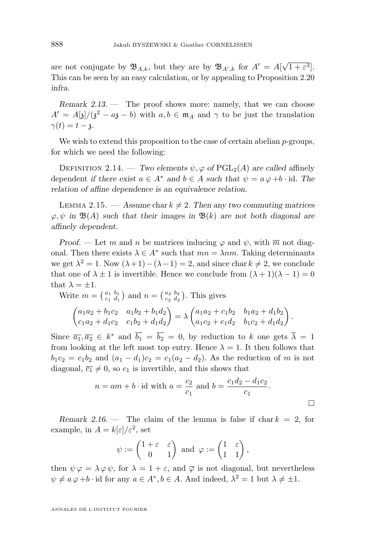<span id="page-12-0"></span>are not conjugate by  $\mathfrak{B}_{A,k}$ , but they are by  $\mathfrak{B}_{A',k}$  for  $A'=A[\sqrt{\frac{1}{2\pi}}A_{k}^{\dagger}]$  $[1+\varepsilon^3]$ . This can be seen by an easy calculation, or by appealing to Proposition [2.20](#page-13-0) *infra*.

*Remark 2.13.* — The proof shows more: namely, that we can choose  $A' = A[\mathfrak{z}]/(\mathfrak{z}^2 - a\mathfrak{z} - b)$  with  $a, b \in \mathfrak{m}_A$  and  $\gamma$  to be just the translation  $\gamma(t) = t - \lambda$ .

We wish to extend this proposition to the case of certain abelian  $p$ -groups, for which we need the following:

DEFINITION 2.14. — *Two elements*  $\psi$ ,  $\varphi$  of PGL<sub>2</sub>(A) are called affinely dependent *if there exist*  $a \in A^*$  *and*  $b \in A$  *such that*  $\psi = a \varphi + b \cdot id$ *. The relation of affine dependence is an equivalence relation.*

LEMMA 2.15. — Assume char  $k \neq 2$ . Then any two commuting matrices  $\varphi, \psi$  in  $\mathfrak{B}(A)$  such that their images in  $\mathfrak{B}(k)$  are not both diagonal are *affinely dependent.*

*Proof.* — Let m and n be matrices inducing  $\varphi$  and  $\psi$ , with  $\overline{m}$  not diagonal. Then there exists  $\lambda \in A^*$  such that  $mn = \lambda nm$ . Taking determinants we get  $\lambda^2 = 1$ . Now  $(\lambda + 1) - (\lambda - 1) = 2$ , and since char  $k \neq 2$ , we conclude that one of  $\lambda \pm 1$  is invertible. Hence we conclude from  $(\lambda + 1)(\lambda - 1) = 0$ that  $\lambda = \pm 1$ .

Write 
$$
m = \begin{pmatrix} a_1 & b_1 \\ c_1 & d_1 \end{pmatrix}
$$
 and  $n = \begin{pmatrix} a_2 & b_2 \\ c_2 & d_2 \end{pmatrix}$ . This gives  
\n
$$
\begin{pmatrix} a_1a_2 + b_1c_2 & a_1b_2 + b_1d_2 \\ c_1a_2 + d_1c_2 & c_1b_2 + d_1d_2 \end{pmatrix} = \lambda \begin{pmatrix} a_1a_2 + c_1b_2 & b_1a_2 + d_1b_2 \\ a_1c_2 + c_1d_2 & b_1c_2 + d_1d_2 \end{pmatrix}.
$$

Since  $\overline{a_1}, \overline{a_2} \in k^*$  and  $\overline{b_1} = \overline{b_2} = 0$ , by reduction to k one gets  $\overline{\lambda} = 1$ from looking at the left most top entry. Hence  $\lambda = 1$ . It then follows that  $b_1c_2 = c_1b_2$  and  $(a_1 - d_1)c_2 = c_1(a_2 - d_2)$ . As the reduction of m is not diagonal,  $\overline{c_1} \neq 0$ , so  $c_1$  is invertible, and this shows that

$$
n = am + b \cdot \text{id}
$$
 with  $a = \frac{c_2}{c_1}$  and  $b = \frac{c_1 d_2 - d_1 c_2}{c_1}$ .

*Remark 2.16.* — The claim of the lemma is false if chark  $= 2$ , for example, in  $A = k[\varepsilon]/\varepsilon^2$ , set

$$
\psi := \begin{pmatrix} 1 + \varepsilon & \varepsilon \\ 0 & 1 \end{pmatrix} \text{ and } \varphi := \begin{pmatrix} 1 & \varepsilon \\ 1 & 1 \end{pmatrix},
$$

then  $\psi \varphi = \lambda \varphi \psi$ , for  $\lambda = 1 + \varepsilon$ , and  $\overline{\varphi}$  is not diagonal, but nevertheless  $\psi \neq a \varphi + b \cdot \text{id}$  for any  $a \in A^*, b \in A$ . And indeed,  $\lambda^2 = 1$  but  $\lambda \neq \pm 1$ .

ANNALES DE L'INSTITUT FOURIER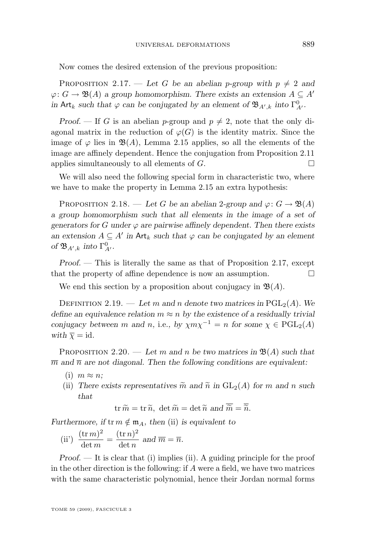<span id="page-13-0"></span>Now comes the desired extension of the previous proposition:

PROPOSITION 2.17. — Let G be an abelian p-group with  $p \neq 2$  and  $\varphi: G \to \mathfrak{B}(A)$  *a group homomorphism. There exists an extension*  $A \subseteq A'$ *in* Art<sub>k</sub> such that  $\varphi$  *can be conjugated by an element of*  $\mathfrak{B}_{A',k}$  *into*  $\Gamma^0_{A'}$ *.* 

*Proof.* — If G is an abelian p-group and  $p \neq 2$ , note that the only diagonal matrix in the reduction of  $\varphi(G)$  is the identity matrix. Since the image of  $\varphi$  lies in  $\mathfrak{B}(A)$ , Lemma [2.15](#page-12-0) applies, so all the elements of the image are affinely dependent. Hence the conjugation from Proposition [2.11](#page-11-0) applies simultaneously to all elements of  $G$ .

We will also need the following special form in characteristic two, where we have to make the property in Lemma [2.15](#page-12-0) an extra hypothesis:

PROPOSITION 2.18. — Let G be an abelian 2-group and  $\varphi: G \to \mathfrak{B}(A)$ *a group homomorphism such that all elements in the image of a set of* generators for G under  $\varphi$  are pairwise affinely dependent. Then there exists *an extension*  $A \subseteq A'$  *in* Art<sub>k</sub> *such that*  $\varphi$  *can be conjugated by an element* of  $\mathfrak{B}_{A',k}$  *into*  $\Gamma^0_{A'}$ *.* 

*Proof. —* This is literally the same as that of Proposition 2.17, except that the property of affine dependence is now an assumption.

We end this section by a proposition about conjugacy in  $\mathfrak{B}(A)$ .

DEFINITION 2.19. — Let m and n denote two matrices in  $PGL_2(A)$ . We *define an equivalence relation*  $m \approx n$  *by the existence of a residually trivial conjugacy between* m and n, i.e., by  $\chi m \chi^{-1} = n$  for some  $\chi \in \text{PGL}_2(A)$ *with*  $\overline{\chi}$  = id.

PROPOSITION 2.20. — Let m and n be two matrices in  $\mathfrak{B}(A)$  such that  $\overline{m}$  and  $\overline{n}$  are not diagonal. Then the following conditions are equivalent:

- (i)  $m \approx n$ ;
- (ii) There exists representatives  $\tilde{m}$  and  $\tilde{n}$  in  $GL_2(A)$  for m and n such *that*

 $tr \widetilde{m} = tr \widetilde{n}$ ,  $det \widetilde{m} = det \widetilde{n}$  and  $\overline{\widetilde{m}} = \overline{\widetilde{n}}$ .

*Furthermore, if*  $\text{tr } m \notin \mathfrak{m}_A$ *, then* (ii) *is equivalent to* 

(ii') 
$$
\frac{(\operatorname{tr} m)^2}{\det m} = \frac{(\operatorname{tr} n)^2}{\det n} \text{ and } \overline{m} = \overline{n}.
$$

*Proof.* — It is clear that (i) implies (ii). A guiding principle for the proof in the other direction is the following: if A were a field, we have two matrices with the same characteristic polynomial, hence their Jordan normal forms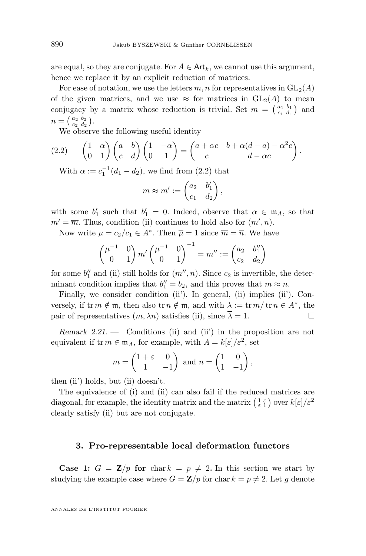are equal, so they are conjugate. For  $A \in \text{Art}_k$ , we cannot use this argument, hence we replace it by an explicit reduction of matrices.

For ease of notation, we use the letters m, n for representatives in  $GL_2(A)$ of the given matrices, and we use  $\approx$  for matrices in  $GL_2(A)$  to mean conjugacy by a matrix whose reduction is trivial. Set  $m = \begin{pmatrix} a_1 & b_1 \\ c_1 & d_1 \end{pmatrix}$  and  $n = \left(\begin{smallmatrix} a_2 & b_2 \ c_2 & d_2 \end{smallmatrix}\right).$ 

We observe the following useful identity

$$
(2.2) \qquad \begin{pmatrix} 1 & \alpha \\ 0 & 1 \end{pmatrix} \begin{pmatrix} a & b \\ c & d \end{pmatrix} \begin{pmatrix} 1 & -\alpha \\ 0 & 1 \end{pmatrix} = \begin{pmatrix} a + \alpha c & b + \alpha(d - a) - \alpha^2 c \\ c & d - \alpha c \end{pmatrix}.
$$

With  $\alpha := c_1^{-1}(d_1 - d_2)$ , we find from (2.2) that

$$
m \approx m' := \begin{pmatrix} a_2 & b'_1 \\ c_1 & d_2 \end{pmatrix},
$$

with some  $b'_1$  such that  $\overline{b'_1} = 0$ . Indeed, observe that  $\alpha \in \mathfrak{m}_A$ , so that  $\overline{m'} = \overline{m}$ . Thus, condition (ii) continues to hold also for  $(m', n)$ .

Now write  $\mu = c_2/c_1 \in A^*$ . Then  $\overline{\mu} = 1$  since  $\overline{m} = \overline{n}$ . We have

$$
\begin{pmatrix} \mu^{-1} & 0 \\ 0 & 1 \end{pmatrix} m' \begin{pmatrix} \mu^{-1} & 0 \\ 0 & 1 \end{pmatrix}^{-1} = m'' := \begin{pmatrix} a_2 & b_1'' \\ c_2 & d_2 \end{pmatrix}
$$

for some  $b_1''$  and (ii) still holds for  $(m'', n)$ . Since  $c_2$  is invertible, the determinant condition implies that  $b_1'' = b_2$ , and this proves that  $m \approx n$ .

Finally, we consider condition (ii'). In general, (ii) implies (ii'). Conversely, if  $\text{tr } m \notin \mathfrak{m}$ , then also  $\text{tr } n \notin \mathfrak{m}$ , and with  $\lambda := \text{tr } m / \text{tr } n \in A^*$ , the pair of representatives  $(m, \lambda n)$  satisfies (ii), since  $\overline{\lambda} = 1$ .

*Remark 2.21. —* Conditions (ii) and (ii') in the proposition are not equivalent if  $\text{tr } m \in \mathfrak{m}_A$ , for example, with  $A = k[\varepsilon]/\varepsilon^2$ , set

$$
m = \begin{pmatrix} 1 + \varepsilon & 0 \\ 1 & -1 \end{pmatrix} \text{ and } n = \begin{pmatrix} 1 & 0 \\ 1 & -1 \end{pmatrix},
$$

then (ii') holds, but (ii) doesn't.

The equivalence of (i) and (ii) can also fail if the reduced matrices are diagonal, for example, the identity matrix and the matrix  $\left(\frac{1}{\varepsilon} \frac{\varepsilon}{1}\right)$  over  $k[\varepsilon]/\varepsilon^2$ clearly satisfy (ii) but are not conjugate.

#### **3. Pro-representable local deformation functors**

**Case 1:**  $G = \mathbb{Z}/p$  for char  $k = p \neq 2$ . In this section we start by studying the example case where  $G = \mathbf{Z}/p$  for char  $k = p \neq 2$ . Let g denote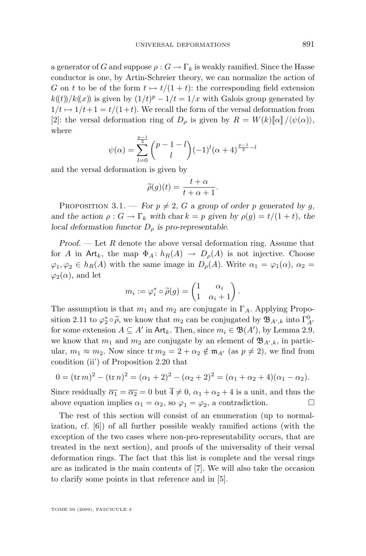<span id="page-15-0"></span>a generator of G and suppose  $\rho: G \to \Gamma_k$  is weakly ramified. Since the Hasse conductor is one, by Artin-Schreier theory, we can normalize the action of G on t to be of the form  $t \mapsto t/(1 + t)$ : the corresponding field extension  $k(\mathbf{t})/k(\mathbf{x})$  is given by  $(1/t)^p - 1/t = 1/x$  with Galois group generated by  $1/t \mapsto 1/t+1 = t/(1+t)$ . We recall the form of the versal deformation from [\[2\]](#page-25-0): the versal deformation ring of  $D_\rho$  is given by  $R = W(k)[\alpha]/\langle \psi(\alpha) \rangle$ , where

$$
\psi(\alpha) = \sum_{l=0}^{\frac{p-1}{2}} \binom{p-1-l}{l} (-1)^l (\alpha+4)^{\frac{p-1}{2}-l}
$$

and the versal deformation is given by

$$
\widetilde{\rho}(g)(t) = \frac{t+\alpha}{t+\alpha+1}.
$$

PROPOSITION 3.1. — *For*  $p \neq 2$ , G a group of order p generated by q, *and the action*  $\rho: G \to \Gamma_k$  *with* char  $k = p$  *given by*  $\rho(g) = t/(1+t)$ *, the local deformation functor*  $D_{\rho}$  *is pro-representable.* 

*Proof. —* Let R denote the above versal deformation ring. Assume that for A in Art<sub>k</sub>, the map  $\Phi_A: h_R(A) \to D_\rho(A)$  is not injective. Choose  $\varphi_1, \varphi_2 \in h_R(A)$  with the same image in  $D_\rho(A)$ . Write  $\alpha_1 = \varphi_1(\alpha)$ ,  $\alpha_2 =$  $\varphi_2(\alpha)$ , and let

$$
m_i := \varphi_i^* \circ \widetilde{\rho}(g) = \begin{pmatrix} 1 & \alpha_i \\ 1 & \alpha_i + 1 \end{pmatrix}.
$$

The assumption is that  $m_1$  and  $m_2$  are conjugate in  $\Gamma_A$ . Applying Propo-sition [2.11](#page-11-0) to  $\varphi_2^* \circ \widetilde{\rho}$ , we know that  $m_2$  can be conjugated by  $\mathfrak{B}_{A',k}$  into  $\Gamma_{A'}^0$ <br>for some ortangion  $A \subset A'$  in  $\Delta t$ . Then, gives  $m \in \mathfrak{B}(A')$ , by Lemma 2.0. for some extension  $A \subseteq A'$  in  $\mathsf{Art}_k$ . Then, since  $m_i \in \mathfrak{B}(A')$ , by Lemma [2.9,](#page-10-0) we know that  $m_1$  and  $m_2$  are conjugate by an element of  $\mathfrak{B}_{A',k}$ , in particular,  $m_1 \approx m_2$ . Now since  $\operatorname{tr} m_2 = 2 + \alpha_2 \notin \mathfrak{m}_{A'}$  (as  $p \neq 2$ ), we find from condition (ii') of Proposition [2.20](#page-13-0) that

$$
0 = (\operatorname{tr} m)^2 - (\operatorname{tr} n)^2 = (\alpha_1 + 2)^2 - (\alpha_2 + 2)^2 = (\alpha_1 + \alpha_2 + 4)(\alpha_1 - \alpha_2).
$$

Since residually  $\overline{\alpha_1} = \overline{\alpha_2} = 0$  but  $4 \neq 0$ ,  $\alpha_1 + \alpha_2 + 4$  is a unit, and thus the above equation implies  $\alpha_1 = \alpha_2$ , so  $\varphi_1 = \varphi_2$ , a contradiction.

The rest of this section will consist of an enumeration (up to normalization, cf. [\[6\]](#page-25-0)) of all further possible weakly ramified actions (with the exception of the two cases where non-pro-representability occurs, that are treated in the next section), and proofs of the universality of their versal deformation rings. The fact that this list is complete and the versal rings are as indicated is the main contents of [\[7\]](#page-26-0). We will also take the occasion to clarify some points in that reference and in [\[5\]](#page-25-0).

TOME 59 (2009), FASCICULE 3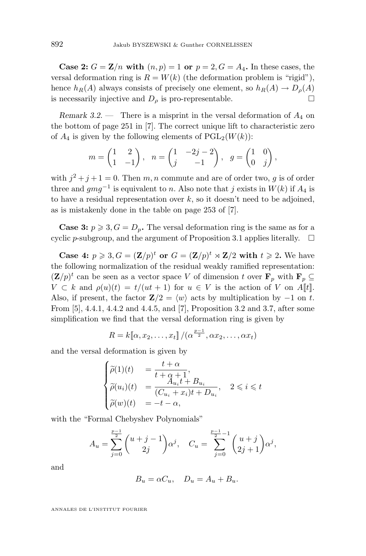**Case 2:**  $G = \mathbb{Z}/n$  with  $(n, p) = 1$  or  $p = 2, G = A_4$ . In these cases, the versal deformation ring is  $R = W(k)$  (the deformation problem is "rigid"), hence  $h_R(A)$  always consists of precisely one element, so  $h_R(A) \to D_\rho(A)$ is necessarily injective and  $D_{\rho}$  is pro-representable.

*Remark 3.2.* — There is a misprint in the versal deformation of  $A_4$  on the bottom of page 251 in [\[7\]](#page-26-0). The correct unique lift to characteristic zero of  $A_4$  is given by the following elements of  $PGL_2(W(k))$ :

$$
m = \begin{pmatrix} 1 & 2 \\ 1 & -1 \end{pmatrix}, \quad n = \begin{pmatrix} 1 & -2j - 2 \\ j & -1 \end{pmatrix}, \quad g = \begin{pmatrix} 1 & 0 \\ 0 & j \end{pmatrix},
$$

with  $j^2 + j + 1 = 0$ . Then m, n commute and are of order two, g is of order three and  $gmg^{-1}$  is equivalent to n. Also note that j exists in  $W(k)$  if  $A_4$  is to have a residual representation over  $k$ , so it doesn't need to be adjoined, as is mistakenly done in the table on page 253 of [\[7\]](#page-26-0).

**Case 3:**  $p \ge 3$ ,  $G = D_p$ . The versal deformation ring is the same as for a cyclic p-subgroup, and the argument of Proposition [3.1](#page-15-0) applies literally.  $\Box$ 

**Case 4:**  $p \ge 3$ ,  $G = (\mathbf{Z}/p)^t$  or  $G = (\mathbf{Z}/p)^t \rtimes \mathbf{Z}/2$  with  $t \ge 2$ . We have the following normalization of the residual weakly ramified representation:  $({\bf Z}/p)^t$  can be seen as a vector space V of dimension t over  ${\bf F}_p$  with  ${\bf F}_p \subseteq {\bf Z}/p^t$  $V \subset k$  and  $\rho(u)(t) = t/(ut + 1)$  for  $u \in V$  is the action of V on A[t]. Also, if present, the factor  $\mathbf{Z}/2 = \langle w \rangle$  acts by multiplication by −1 on t. From [\[5\]](#page-25-0), 4.4.1, 4.4.2 and 4.4.5, and [\[7\]](#page-26-0), Proposition 3.2 and 3.7, after some simplification we find that the versal deformation ring is given by

$$
R = k[\![\alpha, x_2, \dots, x_t]\!]/(\alpha^{\frac{p-1}{2}}, \alpha x_2, \dots, \alpha x_t)
$$

and the versal deformation is given by

$$
\begin{cases}\n\widetilde{\rho}(1)(t) &= \frac{t+\alpha}{t+\alpha+1}, \\
\widetilde{\rho}(u_i)(t) &= \frac{A_{u_i}t+B_{u_i}}{(C_{u_i}+x_i)t+D_{u_i}}, \quad 2 \leq i \leq t \\
\widetilde{\rho}(w)(t) &= -t-\alpha,\n\end{cases}
$$

with the "Formal Chebyshev Polynomials"

$$
A_u = \sum_{j=0}^{\frac{p-1}{2}} \binom{u+j-1}{2j} \alpha^j, \quad C_u = \sum_{j=0}^{\frac{p-1}{2}-1} \binom{u+j}{2j+1} \alpha^j,
$$

and

$$
B_u = \alpha C_u, \quad D_u = A_u + B_u.
$$

ANNALES DE L'INSTITUT FOURIER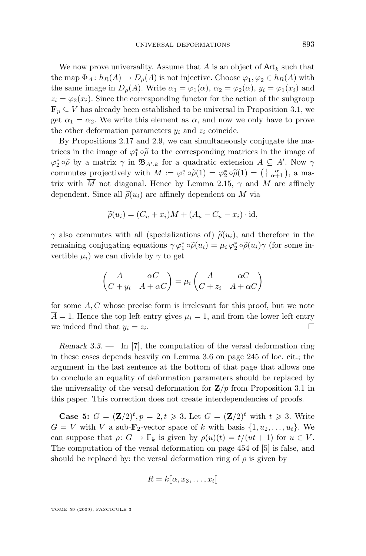<span id="page-17-0"></span>We now prove universality. Assume that A is an object of  $\mathsf{Art}_k$  such that the map  $\Phi_A: h_R(A) \to D_\rho(A)$  is not injective. Choose  $\varphi_1, \varphi_2 \in h_R(A)$  with the same image in  $D_{\rho}(A)$ . Write  $\alpha_1 = \varphi_1(\alpha)$ ,  $\alpha_2 = \varphi_2(\alpha)$ ,  $y_i = \varphi_1(x_i)$  and  $z_i = \varphi_2(x_i)$ . Since the corresponding functor for the action of the subgroup  $\mathbf{F}_p \subseteq V$  has already been established to be universal in Proposition [3.1,](#page-15-0) we get  $\alpha_1 = \alpha_2$ . We write this element as  $\alpha$ , and now we only have to prove the other deformation parameters  $y_i$  and  $z_i$  coincide.

By Propositions [2.17](#page-13-0) and [2.9,](#page-10-0) we can simultaneously conjugate the matrices in the image of  $\varphi_1^* \circ \widetilde{\rho}$  to the corresponding matrices in the image of  $\varphi_2^* \circ \widetilde{\rho}$  by a matrix  $\gamma$  in  $\mathfrak{B}_{A',k}$  for a quadratic extension  $A \subseteq A'$ . Now  $\gamma$ <br>commutes projectively with  $M := e^* \circ \widetilde{\rho}(1) = e^* \circ \widetilde{\rho}(1) = \left(1 - \alpha\right)$  a me commutes projectively with  $M := \varphi_1^* \circ \widetilde{\rho}(1) = \varphi_2^* \circ \widetilde{\rho}(1) = \begin{pmatrix} 1 & \alpha \\ 1 & \alpha + 1 \end{pmatrix}$ , a ma-<br>trive with  $\overline{M}$  not diagonal. Hence by Lamma 2.15, as and  $M$  are affinely trix with M not diagonal. Hence by Lemma [2.15,](#page-12-0)  $\gamma$  and M are affinely dependent. Since all  $\tilde{\rho}(u_i)$  are affinely dependent on M via

$$
\widetilde{\rho}(u_i) = (C_u + x_i)M + (A_u - C_u - x_i) \cdot \mathrm{id},
$$

 $\gamma$  also commutes with all (specializations of)  $\tilde{\rho}(u_i)$ , and therefore in the remaining conjugating equations  $\gamma \varphi_1^* \circ \widetilde{\rho}(u_i) = \mu_i \varphi_2^* \circ \widetilde{\rho}(u_i) \gamma$  (for some in-<br>yeither u) we see divide by a to get vertible  $\mu_i$ ) we can divide by  $\gamma$  to get

$$
\begin{pmatrix} A & \alpha C \\ C + y_i & A + \alpha C \end{pmatrix} = \mu_i \begin{pmatrix} A & \alpha C \\ C + z_i & A + \alpha C \end{pmatrix}
$$

for some  $A, C$  whose precise form is irrelevant for this proof, but we note  $\overline{A} = 1$ . Hence the top left entry gives  $\mu_i = 1$ , and from the lower left entry we indeed find that  $y_i = z_i$ . .

*Remark 3.3. —* In [\[7\]](#page-26-0), the computation of the versal deformation ring in these cases depends heavily on Lemma 3.6 on page 245 of loc. cit.; the argument in the last sentence at the bottom of that page that allows one to conclude an equality of deformation parameters should be replaced by the universality of the versal deformation for  $\mathbf{Z}/p$  from Proposition [3.1](#page-15-0) in this paper. This correction does not create interdependencies of proofs.

**Case 5:**  $G = (\mathbf{Z}/2)^t, p = 2, t \ge 3$ . Let  $G = (\mathbf{Z}/2)^t$  with  $t \ge 3$ . Write  $G = V$  with V a sub- $\mathbf{F}_2$ -vector space of k with basis  $\{1, u_2, \ldots, u_t\}$ . We can suppose that  $\rho: G \to \Gamma_k$  is given by  $\rho(u)(t) = t/(ut + 1)$  for  $u \in V$ . The computation of the versal deformation on page 454 of [\[5\]](#page-25-0) is false, and should be replaced by: the versal deformation ring of  $\rho$  is given by

$$
R = k[\![\alpha, x_3, \ldots, x_t]\!]
$$

TOME 59 (2009), FASCICULE 3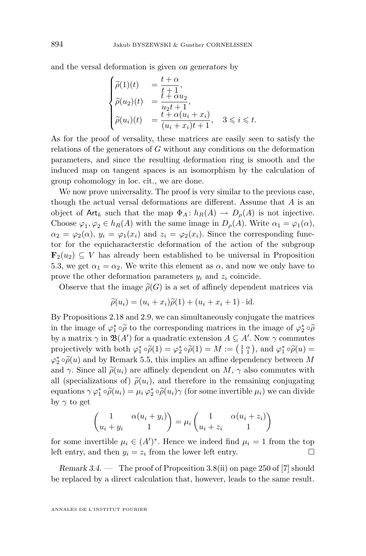and the versal deformation is given *on generators* by

$$
\begin{cases}\n\widetilde{\rho}(1)(t) &= \frac{t+\alpha}{t+1}, \\
\widetilde{\rho}(u_2)(t) &= \frac{t+\alpha u_2}{u_2 t+1}, \\
\widetilde{\rho}(u_i)(t) &= \frac{t+\alpha(u_i+x_i)}{(u_i+x_i)t+1}, \quad 3 \leqslant i \leqslant t.\n\end{cases}
$$

As for the proof of versality, these matrices are easily seen to satisfy the relations of the generators of G without any conditions on the deformation parameters, and since the resulting deformation ring is smooth and the induced map on tangent spaces is an isomorphism by the calculation of group cohomology in loc. cit., we are done.

We now prove universality. The proof is very similar to the previous case, though the actual versal deformations are different. Assume that A is an object of Art<sub>k</sub> such that the map  $\Phi_A: h_R(A) \to D_\rho(A)$  is not injective. Choose  $\varphi_1, \varphi_2 \in h_R(A)$  with the same image in  $D_\rho(A)$ . Write  $\alpha_1 = \varphi_1(\alpha)$ ,  $\alpha_2 = \varphi_2(\alpha)$ ,  $y_i = \varphi_1(x_i)$  and  $z_i = \varphi_2(x_i)$ . Since the corresponding functor for the equicharacterstic deformation of the action of the subgroup  $\mathbf{F}_2(u_2) \subseteq V$  has already been established to be universal in Proposition [5.3,](#page-21-0) we get  $\alpha_1 = \alpha_2$ . We write this element as  $\alpha$ , and now we only have to prove the other deformation parameters  $y_i$  and  $z_i$  coincide.

Observe that the image  $\tilde{\rho}(G)$  is a set of affinely dependent matrices via

$$
\widetilde{\rho}(u_i) = (u_i + x_i)\widetilde{\rho}(1) + (u_i + x_i + 1) \cdot \mathrm{id}.
$$

By Propositions [2.18](#page-13-0) and [2.9,](#page-10-0) we can simultaneously conjugate the matrices in the image of  $\varphi_1^* \circ \widetilde{\rho}$  to the corresponding matrices in the image of  $\varphi_2^* \circ \widetilde{\rho}$ <br>by a matrix  $\chi$  in  $\mathfrak{R}(A')$  for a quadratic ortangion  $A \subset A'$ . Now a commutes by a matrix  $\gamma$  in  $\mathfrak{B}(A')$  for a quadratic extension  $A \subseteq A'$ . Now  $\gamma$  commutes projectively with both  $\varphi_1^* \circ \widetilde{\rho}(1) = \varphi_2^* \circ \widetilde{\rho}(1) = M := \left(\frac{1}{1} \alpha_1\right)$ , and  $\varphi_1^* \circ \widetilde{\rho}(u) =$ <br> $\varphi_1^* \circ \widetilde{\rho}(u)$  and by Person's 5.5, this implies an effine dependency between M  $\varphi_2^* \circ \widetilde{\rho}(u)$  and by Remark [5.5,](#page-22-0) this implies an affine dependency between M<br>cand as Since all  $\widetilde{\rho}(u)$  are effinely dependent on M, welco commutes with and  $\gamma$ . Since all  $\tilde{\rho}(u_i)$  are affinely dependent on  $M$ ,  $\gamma$  also commutes with all (specializations of)  $\tilde{\rho}(u_i)$ , and therefore in the remaining conjugating equations  $\gamma \varphi_1^* \circ \widetilde{\rho}(u_i) = \mu_i \varphi_2^* \circ \widetilde{\rho}(u_i) \gamma$  (for some invertible  $\mu_i$ ) we can divide<br>by a to get by  $\gamma$  to get

$$
\begin{pmatrix} 1 & \alpha(u_i + y_i) \\ u_i + y_i & 1 \end{pmatrix} = \mu_i \begin{pmatrix} 1 & \alpha(u_i + z_i) \\ u_i + z_i & 1 \end{pmatrix}
$$

for some invertible  $\mu_i \in (A')^*$ . Hence we indeed find  $\mu_i = 1$  from the top left entry, and then  $y_i = z_i$  from the lower left entry.

*Remark 3.4. —* The proof of Proposition 3.8(ii) on page 250 of [\[7\]](#page-26-0) should be replaced by a direct calculation that, however, leads to the same result.

ANNALES DE L'INSTITUT FOURIER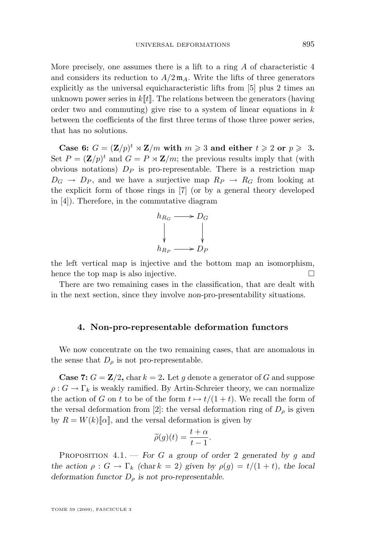<span id="page-19-0"></span>More precisely, one assumes there is a lift to a ring  $\tilde{A}$  of characteristic 4 and considers its reduction to  $A/2 \mathfrak{m}_A$ . Write the lifts of three generators explicitly as the universal equicharacteristic lifts from [\[5\]](#page-25-0) plus 2 times an unknown power series in  $k[[t]]$ . The relations between the generators (having order two and commuting) give rise to a system of linear equations in  $k$ between the coefficients of the first three terms of those three power series, that has no solutions.

**Case 6:**  $G = (\mathbf{Z}/p)^t \rtimes \mathbf{Z}/m$  with  $m \geq 3$  and either  $t \geq 2$  or  $p \geq 3$ . Set  $P = (\mathbf{Z}/p)^t$  and  $G = P \rtimes \mathbf{Z}/m$ ; the previous results imply that (with obvious notations)  $D<sub>P</sub>$  is pro-representable. There is a restriction map  $D_G \rightarrow D_P$ , and we have a surjective map  $R_P \rightarrow R_G$  from looking at the explicit form of those rings in [\[7\]](#page-26-0) (or by a general theory developed in [\[4\]](#page-25-0)). Therefore, in the commutative diagram



the left vertical map is injective and the bottom map an isomorphism, hence the top map is also injective.  $\Box$ 

There are two remaining cases in the classification, that are dealt with in the next section, since they involve *non-*pro-presentability situations.

#### **4. Non-pro-representable deformation functors**

We now concentrate on the two remaining cases, that are anomalous in the sense that  $D_{\rho}$  is not pro-representable.

**Case 7:**  $G = \mathbb{Z}/2$ , char  $k = 2$ . Let g denote a generator of G and suppose  $\rho: G \to \Gamma_k$  is weakly ramified. By Artin-Schreier theory, we can normalize the action of G on t to be of the form  $t \mapsto t/(1 + t)$ . We recall the form of the versal deformation from [\[2\]](#page-25-0): the versal deformation ring of  $D<sub>o</sub>$  is given by  $R = W(k)\llbracket\alpha\rrbracket$ , and the versal deformation is given by

$$
\widetilde{\rho}(g)(t) = \frac{t+\alpha}{t-1}.
$$

Proposition 4.1. — *For* G *a group of order* 2 *generated by* g *and the action*  $\rho: G \to \Gamma_k$  *(chark = 2) given by*  $\rho(g) = t/(1+t)$ *, the local deformation functor*  $D_{\rho}$  *is not pro-representable.*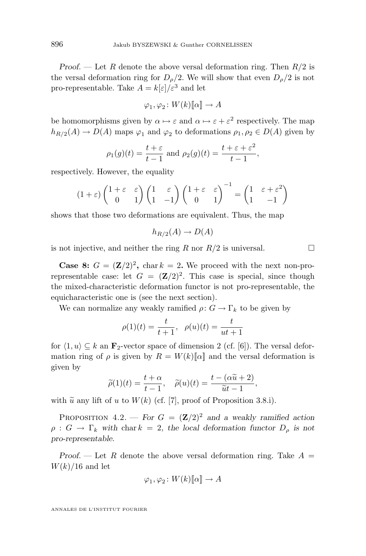*Proof.* — Let R denote the above versal deformation ring. Then  $R/2$  is the versal deformation ring for  $D<sub>0</sub>/2$ . We will show that even  $D<sub>0</sub>/2$  is not pro-representable. Take  $A = k[\varepsilon]/\varepsilon^3$  and let

$$
\varphi_1, \varphi_2 \colon W(k)[\![\alpha]\!] \to A
$$

be homomorphisms given by  $\alpha \mapsto \varepsilon$  and  $\alpha \mapsto \varepsilon + \varepsilon^2$  respectively. The map  $h_{R/2}(A) \to D(A)$  maps  $\varphi_1$  and  $\varphi_2$  to deformations  $\rho_1, \rho_2 \in D(A)$  given by

$$
\rho_1(g)(t) = \frac{t+\varepsilon}{t-1}
$$
 and  $\rho_2(g)(t) = \frac{t+\varepsilon+\varepsilon^2}{t-1}$ ,

respectively. However, the equality

$$
(1+\varepsilon)\begin{pmatrix} 1+\varepsilon & \varepsilon \\ 0 & 1 \end{pmatrix} \begin{pmatrix} 1 & \varepsilon \\ 1 & -1 \end{pmatrix} \begin{pmatrix} 1+\varepsilon & \varepsilon \\ 0 & 1 \end{pmatrix}^{-1} = \begin{pmatrix} 1 & \varepsilon+\varepsilon^2 \\ 1 & -1 \end{pmatrix}
$$

shows that those two deformations are equivalent. Thus, the map

$$
h_{R/2}(A) \to D(A)
$$

is not injective, and neither the ring R nor  $R/2$  is universal.

**Case 8:**  $G = (\mathbf{Z}/2)^2$ , char  $k = 2$ . We proceed with the next non-prorepresentable case: let  $G = (\mathbf{Z}/2)^2$ . This case is special, since though the mixed-characteristic deformation functor is not pro-representable, the equicharacteristic one is (see the next section).

We can normalize any weakly ramified  $\rho: G \to \Gamma_k$  to be given by

$$
\rho(1)(t) = \frac{t}{t+1}, \ \ \rho(u)(t) = \frac{t}{ut+1}
$$

for  $\langle 1, u \rangle \subseteq k$  an  $\mathbf{F}_2$ -vector space of dimension 2 (cf. [\[6\]](#page-25-0)). The versal deformation ring of  $\rho$  is given by  $R = W(k)[\![\alpha]\!]$  and the versal deformation is given by

$$
\widetilde{\rho}(1)(t) = \frac{t + \alpha}{t - 1}, \quad \widetilde{\rho}(u)(t) = \frac{t - (\alpha \widetilde{u} + 2)}{\widetilde{u}t - 1},
$$

with  $\tilde{u}$  any lift of u to  $W(k)$  (cf. [\[7\]](#page-26-0), proof of Proposition 3.8.i).

PROPOSITION 4.2. — *For*  $G = (\mathbf{Z}/2)^2$  *and a weakly ramified action*  $\rho: G \to \Gamma_k$  with char  $k = 2$ , the local deformation functor  $D_\rho$  is not *pro-representable.*

*Proof.* — Let R denote the above versal deformation ring. Take  $A =$  $W(k)/16$  and let

$$
\varphi_1, \varphi_2 \colon W(k)[\![\alpha]\!] \to A
$$

ANNALES DE L'INSTITUT FOURIER

$$
\Box
$$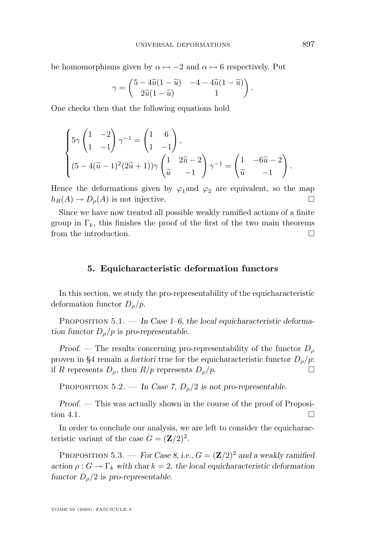<span id="page-21-0"></span>be homomorphisms given by  $\alpha \mapsto -2$  and  $\alpha \mapsto 6$  respectively. Put

$$
\gamma = \begin{pmatrix} 5 - 4\widetilde{u}(1 - \widetilde{u}) & -4 - 4\widetilde{u}(1 - \widetilde{u}) \\ 2\widetilde{u}(1 - \widetilde{u}) & 1 \end{pmatrix}.
$$

One checks then that the following equations hold

$$
\begin{cases} 5\gamma \begin{pmatrix} 1 & -2 \\ 1 & -1 \end{pmatrix} \gamma^{-1} = \begin{pmatrix} 1 & 6 \\ 1 & -1 \end{pmatrix}, \\ (5 - 4(\widetilde{u} - 1)^2 (2\widetilde{u} + 1))\gamma \begin{pmatrix} 1 & 2\widetilde{u} - 2 \\ \widetilde{u} & -1 \end{pmatrix} \gamma^{-1} = \begin{pmatrix} 1 & -6\widetilde{u} - 2 \\ \widetilde{u} & -1 \end{pmatrix}. \end{cases}
$$

Hence the deformations given by  $\varphi_1$ and  $\varphi_2$  are equivalent, so the map  $h_R(A) \to D_\rho(A)$  is not injective.

Since we have now treated all possible weakly ramified actions of a finite group in  $\Gamma_k$ , this finishes the proof of the first of the two main theorems from the introduction.

#### **5. Equicharacteristic deformation functors**

In this section, we study the pro-representability of the equicharacteristic deformation functor  $D_{\rho}/p$ .

PROPOSITION 5.1. — In Case 1–6, the local equicharacteristic deforma*tion functor*  $D_{\rho}/p$  *is pro-representable.* 

*Proof.* — The results concerning pro-representability of the functor  $D_{\rho}$ proven in [§4](#page-19-0) remain *a fortiori* true for the equicharacteristic functor  $D<sub>o</sub>/p$ : if R represents  $D_{\rho}$ , then  $R/p$  represents  $D_{\rho}/p$ .

PROPOSITION 5.2. — In Case 7,  $D_0/2$  is not pro-representable.

*Proof.* — This was actually shown in the course of the proof of Proposi-tion [4.1.](#page-19-0)

In order to conclude our analysis, we are left to consider the equicharacteristic variant of the case  $G = (\mathbf{Z}/2)^2$ .

PROPOSITION 5.3. — *For Case 8, i.e.,*  $G = (\mathbf{Z}/2)^2$  *and a weakly ramified action*  $\rho: G \to \Gamma_k$  *with* char  $k = 2$ *, the local equicharacteristic deformation functor*  $D_{\rho}/2$  *is pro-representable.*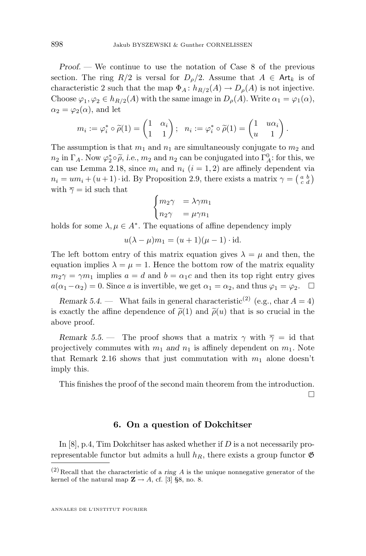<span id="page-22-0"></span>*Proof. —* We continue to use the notation of Case 8 of the previous section. The ring  $R/2$  is versal for  $D<sub>o</sub>/2$ . Assume that  $A \in Art_k$  is of characteristic 2 such that the map  $\Phi_A: h_{R/2}(A) \to D_\rho(A)$  is not injective. Choose  $\varphi_1, \varphi_2 \in h_{R/2}(A)$  with the same image in  $D_{\rho}(A)$ . Write  $\alpha_1 = \varphi_1(\alpha)$ ,  $\alpha_2 = \varphi_2(\alpha)$ , and let

$$
m_i := \varphi_i^* \circ \widetilde{\rho}(1) = \begin{pmatrix} 1 & \alpha_i \\ 1 & 1 \end{pmatrix}; \ \ n_i := \varphi_i^* \circ \widetilde{\rho}(1) = \begin{pmatrix} 1 & u\alpha_i \\ u & 1 \end{pmatrix}.
$$

The assumption is that  $m_1$  and  $n_1$  are simultaneously conjugate to  $m_2$  and  $n_2$  in  $\Gamma_A$ . Now  $\varphi_2^* \circ \widetilde{\rho}$ , *i.e.*,  $m_2$  and  $n_2$  can be conjugated into  $\Gamma_A^0$ : for this, we are used as  $n_2$  is given  $m_2$  and  $n_1$  ( $i = 1, 2$ ) are effinely dependent via can use Lemma [2.18,](#page-13-0) since  $m_i$  and  $n_i$   $(i = 1, 2)$  are affinely dependent via  $n_i = um_i + (u+1) \cdot id$ . By Proposition [2.9,](#page-10-0) there exists a matrix  $\gamma = \begin{pmatrix} a & b \\ c & d \end{pmatrix}$ with  $\overline{\gamma} = id$  such that

$$
\begin{cases} m_2\gamma &= \lambda\gamma m_1\\ n_2\gamma &= \mu\gamma n_1 \end{cases}
$$

holds for some  $\lambda, \mu \in A^*$ . The equations of affine dependency imply

$$
u(\lambda - \mu)m_1 = (u+1)(\mu - 1) \cdot \text{id}.
$$

The left bottom entry of this matrix equation gives  $\lambda = \mu$  and then, the equation implies  $\lambda = \mu = 1$ . Hence the bottom row of the matrix equality  $m_2\gamma = \gamma m_1$  implies  $a = d$  and  $b = \alpha_1 c$  and then its top right entry gives  $a(\alpha_1-\alpha_2)=0$ . Since a is invertible, we get  $\alpha_1=\alpha_2$ , and thus  $\varphi_1=\varphi_2$ .  $\Box$ 

*Remark 5.4.* — What fails in general characteristic<sup>(2)</sup> (e.g., char  $A = 4$ ) is exactly the affine dependence of  $\tilde{\rho}(1)$  and  $\tilde{\rho}(u)$  that is so crucial in the above proof.

*Remark* 5.5. — The proof shows that a matrix  $\gamma$  with  $\overline{\gamma} = id$  that projectively commutes with  $m_1$  *and*  $n_1$  is affinely dependent on  $m_1$ . Note that Remark [2.16](#page-12-0) shows that just commutation with  $m_1$  alone doesn't imply this.

This finishes the proof of the second main theorem from the introduction. П

#### **6. On a question of Dokchitser**

In  $[8]$ , p.4, Tim Dokchitser has asked whether if D is a not necessarily prorepresentable functor but admits a hull  $h_R$ , there exists a group functor  $\mathfrak{G}$ 

 $(2)$  Recall that the characteristic of a *ring* A is the unique nonnegative generator of the kernel of the natural map  $\mathbb{Z} \to A$ , cf. [\[3\]](#page-25-0) §8, no. 8.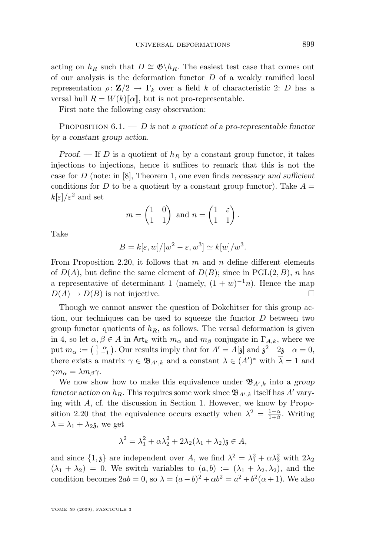acting on  $h_R$  such that  $D \cong \mathfrak{G} \backslash h_R$ . The easiest test case that comes out of our analysis is the deformation functor  $D$  of a weakly ramified local representation  $\rho: \mathbf{Z}/2 \to \Gamma_k$  over a field k of characteristic 2: D has a versal hull  $R = W(k)[\![\alpha]\!]$ , but is not pro-representable.

First note the following easy observation:

Proposition 6.1. — D *is* not *a quotient of a pro-representable functor by a constant group action.*

*Proof.* — If D is a quotient of  $h_R$  by a constant group functor, it takes injections to injections, hence it suffices to remark that this is not the case for D (note: in [\[8\]](#page-26-0), Theorem 1, one even finds *necessary and sufficient* conditions for D to be a quotient by a constant group functor). Take  $A =$  $k[\varepsilon]/\varepsilon^2$  and set

$$
m = \begin{pmatrix} 1 & 0 \\ 1 & 1 \end{pmatrix} \text{ and } n = \begin{pmatrix} 1 & \varepsilon \\ 1 & 1 \end{pmatrix}.
$$

Take

$$
B = k[\varepsilon, w]/[w^2 - \varepsilon, w^3] \simeq k[w]/w^3.
$$

From Proposition [2.20,](#page-13-0) it follows that  $m$  and  $n$  define different elements of  $D(A)$ , but define the same element of  $D(B)$ ; since in PGL(2, B), n has a representative of determinant 1 (namely,  $(1 + w)^{-1}n$ ). Hence the map  $D(A) \to D(B)$  is not injective.

Though we cannot answer the question of Dokchitser for this group action, our techniques can be used to squeeze the functor  $D$  between two group functor quotients of  $h_R$ , as follows. The versal deformation is given in [4,](#page-19-0) so let  $\alpha, \beta \in A$  in Art<sub>k</sub> with  $m_{\alpha}$  and  $m_{\beta}$  conjugate in  $\Gamma_{A,k}$ , where we put  $m_{\alpha} := \begin{pmatrix} 1 & \alpha \\ 1 & -1 \end{pmatrix}$ . Our results imply that for  $A' = A[\mathfrak{z}]$  and  $\mathfrak{z}^2 - 2\mathfrak{z} - \alpha = 0$ , there exists a matrix  $\gamma \in \mathfrak{B}_{A',k}$  and a constant  $\lambda \in (A')^*$  with  $\overline{\lambda} = 1$  and  $\gamma m_{\alpha} = \lambda m_{\beta} \gamma$ .

We now show how to make this equivalence under  $\mathfrak{B}_{A',k}$  into a *group* functor action on  $h_R$ . This requires some work since  $\mathfrak{B}_{A',k}$  itself has  $A'$  varying with A, cf. the discussion in Section [1.](#page-4-0) However, we know by Propo-sition [2.20](#page-13-0) that the equivalence occurs exactly when  $\lambda^2 = \frac{1+\alpha}{1+\beta}$ . Writing  $\lambda = \lambda_1 + \lambda_2$ , we get

$$
\lambda^2 = \lambda_1^2 + \alpha \lambda_2^2 + 2\lambda_2(\lambda_1 + \lambda_2)\mathfrak{z} \in A,
$$

and since  $\{1,\mathfrak{z}\}\$ are independent over A, we find  $\lambda^2 = \lambda_1^2 + \alpha \lambda_2^2$  with  $2\lambda_2$  $(\lambda_1 + \lambda_2) = 0$ . We switch variables to  $(a, b) := (\lambda_1 + \lambda_2, \lambda_2)$ , and the condition becomes  $2ab = 0$ , so  $\lambda = (a - b)^2 + \alpha b^2 = a^2 + b^2(\alpha + 1)$ . We also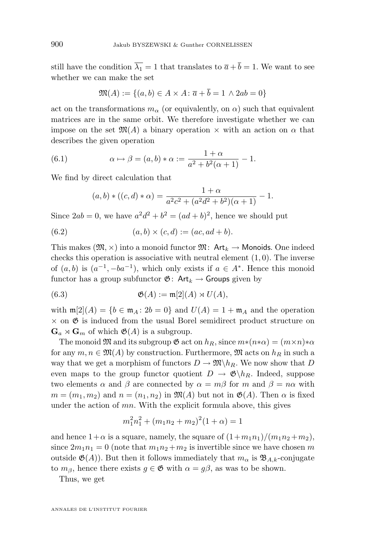<span id="page-24-0"></span>still have the condition  $\overline{\lambda_1} = 1$  that translates to  $\overline{a} + \overline{b} = 1$ . We want to see whether we can make the set

$$
\mathfrak{M}(A) := \{(a, b) \in A \times A \colon \overline{a} + \overline{b} = 1 \land 2ab = 0\}
$$

act on the transformations  $m_{\alpha}$  (or equivalently, on  $\alpha$ ) such that equivalent matrices are in the same orbit. We therefore investigate whether we can impose on the set  $\mathfrak{M}(A)$  a binary operation  $\times$  with an action on  $\alpha$  that describes the given operation

(6.1) 
$$
\alpha \mapsto \beta = (a, b) * \alpha := \frac{1 + \alpha}{a^2 + b^2(\alpha + 1)} - 1.
$$

We find by direct calculation that

$$
(a,b) * ((c,d) * \alpha) = \frac{1+\alpha}{a^2c^2 + (a^2d^2 + b^2)(\alpha+1)} - 1.
$$

Since  $2ab = 0$ , we have  $a^2d^2 + b^2 = (ad + b)^2$ , hence we should put

(6.2) 
$$
(a, b) \times (c, d) := (ac, ad + b).
$$

This makes  $(\mathfrak{M}, \times)$  into a monoid functor  $\mathfrak{M}$ : Art<sub>k</sub>  $\rightarrow$  Monoids. One indeed checks this operation is associative with neutral element  $(1, 0)$ . The inverse of  $(a, b)$  is  $(a^{-1}, -ba^{-1})$ , which only exists if  $a \in A^*$ . Hence this monoid functor has a group subfunctor  $\mathfrak{G}$ : Art<sub>k</sub>  $\rightarrow$  Groups given by

(6.3) 
$$
\mathfrak{G}(A) := \mathfrak{m}[2](A) \rtimes U(A),
$$

with  $\mathfrak{m}[2](A) = \{b \in \mathfrak{m}_A : 2b = 0\}$  and  $U(A) = 1 + \mathfrak{m}_A$  and the operation  $\times$  on  $\mathfrak{G}$  is induced from the usual Borel semidirect product structure on  $\mathbf{G}_a \rtimes \mathbf{G}_m$  of which  $\mathfrak{G}(A)$  is a subgroup.

The monoid  $\mathfrak{M}$  and its subgroup  $\mathfrak{G}$  act on  $h_R$ , since  $m*(n*\alpha) = (m \times n)*\alpha$ for any  $m, n \in \mathfrak{M}(A)$  by construction. Furthermore,  $\mathfrak{M}$  acts on  $h_R$  in such a way that we get a morphism of functors  $D \to \mathfrak{M} \backslash h_R$ . We now show that D even maps to the group functor quotient  $D \to \mathfrak{G} \backslash h_R$ . Indeed, suppose two elements  $\alpha$  and  $\beta$  are connected by  $\alpha = m\beta$  for m and  $\beta = n\alpha$  with  $m = (m_1, m_2)$  and  $n = (n_1, n_2)$  in  $\mathfrak{M}(A)$  but not in  $\mathfrak{G}(A)$ . Then  $\alpha$  is fixed under the action of  $mn$ . With the explicit formula above, this gives

$$
m_1^2 n_1^2 + (m_1 n_2 + m_2)^2 (1 + \alpha) = 1
$$

and hence  $1+\alpha$  is a square, namely, the square of  $(1+m_1n_1)/(m_1n_2+m_2)$ , since  $2m_1n_1 = 0$  (note that  $m_1n_2 + m_2$  is invertible since we have chosen m outside  $\mathfrak{G}(A)$ . But then it follows immediately that  $m_{\alpha}$  is  $\mathfrak{B}_{A,k}$ -conjugate to  $m_\beta$ , hence there exists  $g \in \mathfrak{G}$  with  $\alpha = g\beta$ , as was to be shown.

Thus, we get

ANNALES DE L'INSTITUT FOURIER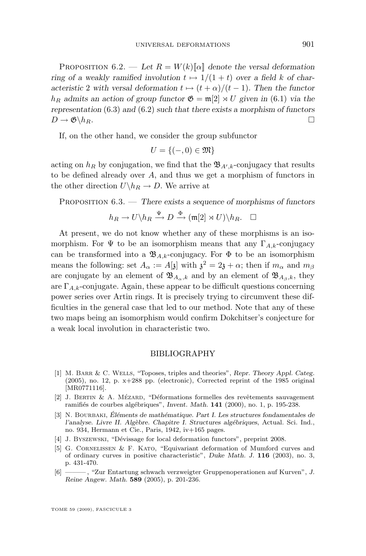<span id="page-25-0"></span>PROPOSITION  $6.2.$  — Let  $R = W(k)[\alpha]$  denote the versal deformation *ring of a weakly ramified involution*  $t \mapsto 1/(1 + t)$  *over a field* k *of characteristic* 2 *with versal deformation*  $t \mapsto (t + \alpha)/(t - 1)$ *. Then the functor*  $h_R$  admits an action of group functor  $\mathfrak{G} = \mathfrak{m}[2] \rtimes U$  given in [\(6.1\)](#page-24-0) via the *representation* [\(6.3\)](#page-24-0) *and* [\(6.2\)](#page-24-0) *such that there exists a morphism of functors*  $D \to \mathfrak{G} \backslash h_R.$ 

If, on the other hand, we consider the group subfunctor

$$
U = \{ (-,0) \in \mathfrak{M} \}
$$

acting on  $h_R$  by conjugation, we find that the  $\mathfrak{B}_{A',k}$ -conjugacy that results to be defined already over A, and thus we get a morphism of functors in the other direction  $U\backslash h_R \to D$ . We arrive at

Proposition 6.3. — *There exists a sequence of morphisms of functors*

$$
h_R \to U \backslash h_R \xrightarrow{\Psi} D \xrightarrow{\Phi} (\mathfrak{m}[2] \rtimes U) \backslash h_R. \quad \Box
$$

At present, we do not know whether any of these morphisms is an isomorphism. For  $\Psi$  to be an isomorphism means that any  $\Gamma_{A,k}$ -conjugacy can be transformed into a  $\mathfrak{B}_{A,k}$ -conjugacy. For  $\Phi$  to be an isomorphism means the following: set  $A_{\alpha} := A[\mathfrak{z}]$  with  $\mathfrak{z}^2 = 2\mathfrak{z} + \alpha$ ; then if  $m_{\alpha}$  and  $m_{\beta}$ are conjugate by an element of  $\mathfrak{B}_{A_{\alpha},k}$  and by an element of  $\mathfrak{B}_{A_{\beta},k}$ , they are  $\Gamma_{A,k}$ -conjugate. Again, these appear to be difficult questions concerning power series over Artin rings. It is precisely trying to circumvent these difficulties in the general case that led to our method. Note that any of these two maps being an isomorphism would confirm Dokchitser's conjecture for a weak local involution in characteristic two.

#### BIBLIOGRAPHY

- [1] M. Barr & C. Wells, "Toposes, triples and theories", *Repr. Theory Appl. Categ.* (2005), no. 12, p. x+288 pp. (electronic), Corrected reprint of the 1985 original [MR0771116].
- [2] J. Bertin & A. Mézard, "Déformations formelles des revêtements sauvagement ramifiés de courbes algébriques", *Invent. Math.* **141** (2000), no. 1, p. 195-238.
- [3] N. Bourbaki, *Éléments de mathématique. Part I. Les structures fondamentales de l'analyse. Livre II. Algèbre. Chapitre I. Structures algébriques*, Actual. Sci. Ind., no. 934, Hermann et Cie., Paris, 1942, iv+165 pages.
- [4] J. Byszewski, "Dévissage for local deformation functors", preprint 2008.
- [5] G. Cornelissen & F. Kato, "Equivariant deformation of Mumford curves and of ordinary curves in positive characteristic", *Duke Math. J.* **116** (2003), no. 3, p. 431-470.
- [6] ——— , "Zur Entartung schwach verzweigter Gruppenoperationen auf Kurven", *J. Reine Angew. Math.* **589** (2005), p. 201-236.